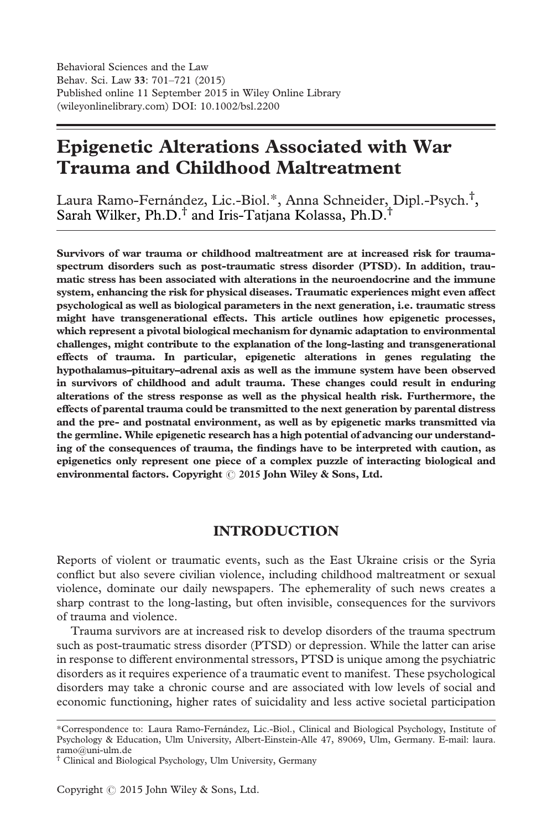# Epigenetic Alterations Associated with War Trauma and Childhood Maltreatment

Laura Ramo-Fernández, Lic.-Biol.\*, Anna Schneider, Dipl.-Psych.† , Sarah Wilker, Ph.D.† and Iris-Tatjana Kolassa, Ph.D.†

Survivors of war trauma or childhood maltreatment are at increased risk for traumaspectrum disorders such as post-traumatic stress disorder (PTSD). In addition, traumatic stress has been associated with alterations in the neuroendocrine and the immune system, enhancing the risk for physical diseases. Traumatic experiences might even affect psychological as well as biological parameters in the next generation, i.e. traumatic stress might have transgenerational effects. This article outlines how epigenetic processes, which represent a pivotal biological mechanism for dynamic adaptation to environmental challenges, might contribute to the explanation of the long-lasting and transgenerational effects of trauma. In particular, epigenetic alterations in genes regulating the hypothalamus–pituitary–adrenal axis as well as the immune system have been observed in survivors of childhood and adult trauma. These changes could result in enduring alterations of the stress response as well as the physical health risk. Furthermore, the effects of parental trauma could be transmitted to the next generation by parental distress and the pre- and postnatal environment, as well as by epigenetic marks transmitted via the germline. While epigenetic research has a high potential of advancing our understanding of the consequences of trauma, the findings have to be interpreted with caution, as epigenetics only represent one piece of a complex puzzle of interacting biological and environmental factors. Copyright  $\odot$  2015 John Wiley & Sons, Ltd.

## INTRODUCTION

Reports of violent or traumatic events, such as the East Ukraine crisis or the Syria conflict but also severe civilian violence, including childhood maltreatment or sexual violence, dominate our daily newspapers. The ephemerality of such news creates a sharp contrast to the long-lasting, but often invisible, consequences for the survivors of trauma and violence.

Trauma survivors are at increased risk to develop disorders of the trauma spectrum such as post-traumatic stress disorder (PTSD) or depression. While the latter can arise in response to different environmental stressors, PTSD is unique among the psychiatric disorders as it requires experience of a traumatic event to manifest. These psychological disorders may take a chronic course and are associated with low levels of social and economic functioning, higher rates of suicidality and less active societal participation

<sup>\*</sup>Correspondence to: Laura Ramo-Fernández, Lic.-Biol., Clinical and Biological Psychology, Institute of Psychology & Education, Ulm University, Albert-Einstein-Alle 47, 89069, Ulm, Germany. E-mail: laura. ramo@uni-ulm.de

<sup>†</sup> Clinical and Biological Psychology, Ulm University, Germany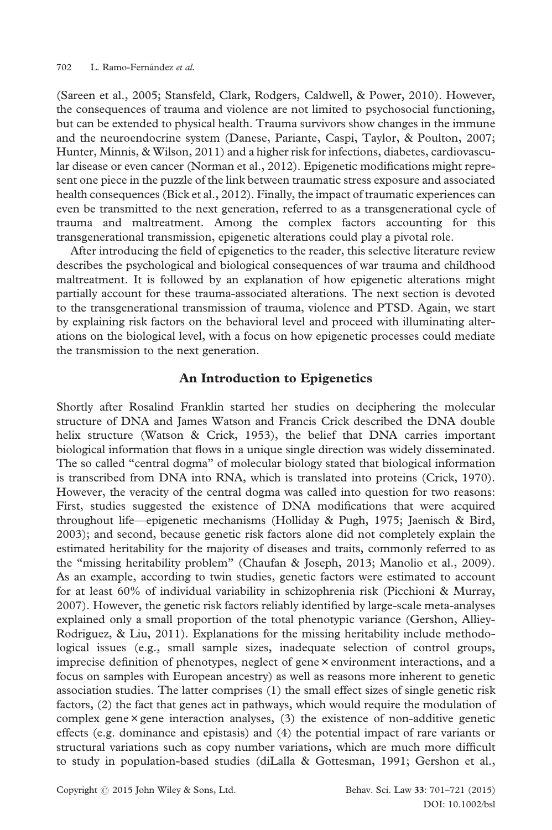(Sareen et al., 2005; Stansfeld, Clark, Rodgers, Caldwell, & Power, 2010). However, the consequences of trauma and violence are not limited to psychosocial functioning, but can be extended to physical health. Trauma survivors show changes in the immune and the neuroendocrine system (Danese, Pariante, Caspi, Taylor, & Poulton, 2007; Hunter, Minnis, & Wilson, 2011) and a higher risk for infections, diabetes, cardiovascular disease or even cancer (Norman et al., 2012). Epigenetic modifications might represent one piece in the puzzle of the link between traumatic stress exposure and associated health consequences (Bick et al., 2012). Finally, the impact of traumatic experiences can even be transmitted to the next generation, referred to as a transgenerational cycle of trauma and maltreatment. Among the complex factors accounting for this transgenerational transmission, epigenetic alterations could play a pivotal role.

After introducing the field of epigenetics to the reader, this selective literature review describes the psychological and biological consequences of war trauma and childhood maltreatment. It is followed by an explanation of how epigenetic alterations might partially account for these trauma-associated alterations. The next section is devoted to the transgenerational transmission of trauma, violence and PTSD. Again, we start by explaining risk factors on the behavioral level and proceed with illuminating alterations on the biological level, with a focus on how epigenetic processes could mediate the transmission to the next generation.

#### An Introduction to Epigenetics

Shortly after Rosalind Franklin started her studies on deciphering the molecular structure of DNA and James Watson and Francis Crick described the DNA double helix structure (Watson & Crick, 1953), the belief that DNA carries important biological information that flows in a unique single direction was widely disseminated. The so called "central dogma" of molecular biology stated that biological information is transcribed from DNA into RNA, which is translated into proteins (Crick, 1970). However, the veracity of the central dogma was called into question for two reasons: First, studies suggested the existence of DNA modifications that were acquired throughout life—epigenetic mechanisms (Holliday & Pugh, 1975; Jaenisch & Bird, 2003); and second, because genetic risk factors alone did not completely explain the estimated heritability for the majority of diseases and traits, commonly referred to as the "missing heritability problem" (Chaufan & Joseph, 2013; Manolio et al., 2009). As an example, according to twin studies, genetic factors were estimated to account for at least 60% of individual variability in schizophrenia risk (Picchioni & Murray, 2007). However, the genetic risk factors reliably identified by large-scale meta-analyses explained only a small proportion of the total phenotypic variance (Gershon, Alliey-Rodriguez, & Liu, 2011). Explanations for the missing heritability include methodological issues (e.g., small sample sizes, inadequate selection of control groups, imprecise definition of phenotypes, neglect of gene × environment interactions, and a focus on samples with European ancestry) as well as reasons more inherent to genetic association studies. The latter comprises (1) the small effect sizes of single genetic risk factors, (2) the fact that genes act in pathways, which would require the modulation of complex gene $\times$  gene interaction analyses, (3) the existence of non-additive genetic effects (e.g. dominance and epistasis) and (4) the potential impact of rare variants or structural variations such as copy number variations, which are much more difficult to study in population-based studies (diLalla & Gottesman, 1991; Gershon et al.,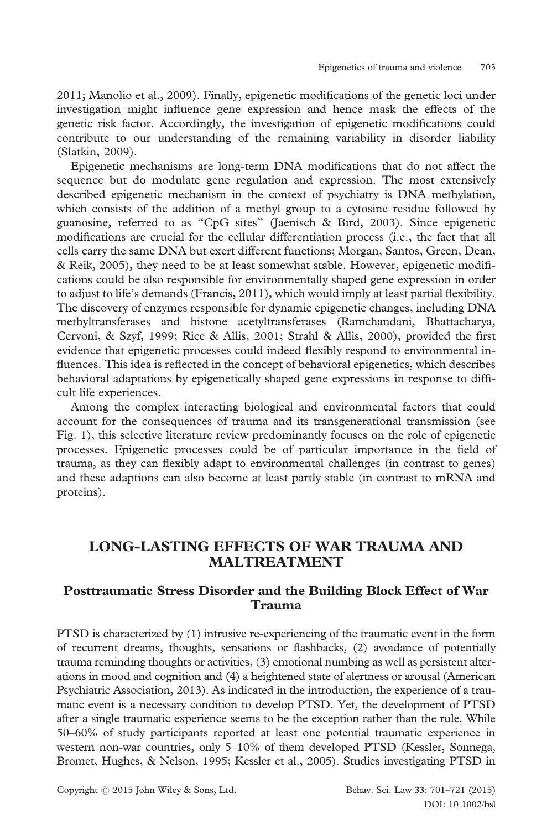2011; Manolio et al., 2009). Finally, epigenetic modifications of the genetic loci under investigation might influence gene expression and hence mask the effects of the genetic risk factor. Accordingly, the investigation of epigenetic modifications could contribute to our understanding of the remaining variability in disorder liability (Slatkin, 2009).

Epigenetic mechanisms are long-term DNA modifications that do not affect the sequence but do modulate gene regulation and expression. The most extensively described epigenetic mechanism in the context of psychiatry is DNA methylation, which consists of the addition of a methyl group to a cytosine residue followed by guanosine, referred to as "CpG sites" (Jaenisch & Bird, 2003). Since epigenetic modifications are crucial for the cellular differentiation process (i.e., the fact that all cells carry the same DNA but exert different functions; Morgan, Santos, Green, Dean, & Reik, 2005), they need to be at least somewhat stable. However, epigenetic modifications could be also responsible for environmentally shaped gene expression in order to adjust to life's demands (Francis, 2011), which would imply at least partial flexibility. The discovery of enzymes responsible for dynamic epigenetic changes, including DNA methyltransferases and histone acetyltransferases (Ramchandani, Bhattacharya, Cervoni, & Szyf, 1999; Rice & Allis, 2001; Strahl & Allis, 2000), provided the first evidence that epigenetic processes could indeed flexibly respond to environmental influences. This idea is reflected in the concept of behavioral epigenetics, which describes behavioral adaptations by epigenetically shaped gene expressions in response to difficult life experiences.

Among the complex interacting biological and environmental factors that could account for the consequences of trauma and its transgenerational transmission (see Fig. 1), this selective literature review predominantly focuses on the role of epigenetic processes. Epigenetic processes could be of particular importance in the field of trauma, as they can flexibly adapt to environmental challenges (in contrast to genes) and these adaptions can also become at least partly stable (in contrast to mRNA and proteins).

# LONG-LASTING EFFECTS OF WAR TRAUMA AND MALTREATMENT

## Posttraumatic Stress Disorder and the Building Block Effect of War Trauma

PTSD is characterized by (1) intrusive re-experiencing of the traumatic event in the form of recurrent dreams, thoughts, sensations or flashbacks, (2) avoidance of potentially trauma reminding thoughts or activities, (3) emotional numbing as well as persistent alterations in mood and cognition and (4) a heightened state of alertness or arousal (American Psychiatric Association, 2013). As indicated in the introduction, the experience of a traumatic event is a necessary condition to develop PTSD. Yet, the development of PTSD after a single traumatic experience seems to be the exception rather than the rule. While 50–60% of study participants reported at least one potential traumatic experience in western non-war countries, only 5–10% of them developed PTSD (Kessler, Sonnega, Bromet, Hughes, & Nelson, 1995; Kessler et al., 2005). Studies investigating PTSD in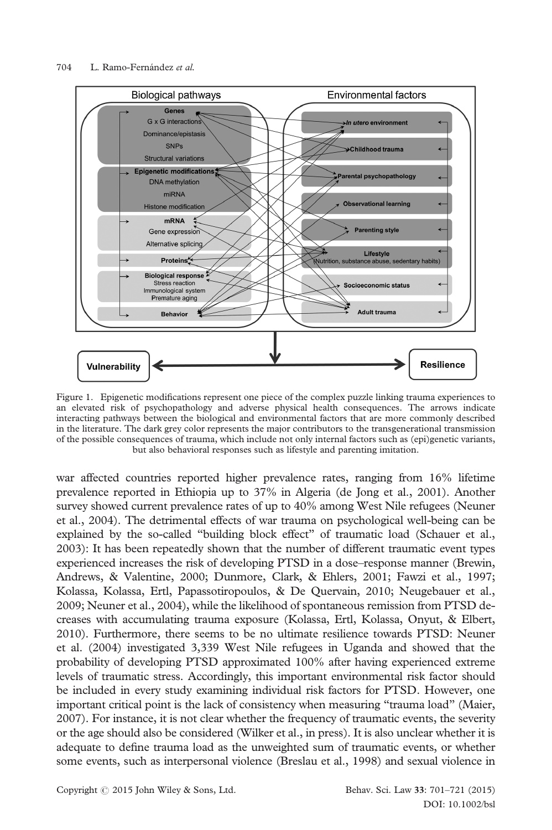

Figure 1. Epigenetic modifications represent one piece of the complex puzzle linking trauma experiences to an elevated risk of psychopathology and adverse physical health consequences. The arrows indicate interacting pathways between the biological and environmental factors that are more commonly described in the literature. The dark grey color represents the major contributors to the transgenerational transmission of the possible consequences of trauma, which include not only internal factors such as (epi)genetic variants, but also behavioral responses such as lifestyle and parenting imitation.

war affected countries reported higher prevalence rates, ranging from 16% lifetime prevalence reported in Ethiopia up to 37% in Algeria (de Jong et al., 2001). Another survey showed current prevalence rates of up to 40% among West Nile refugees (Neuner et al., 2004). The detrimental effects of war trauma on psychological well-being can be explained by the so-called "building block effect" of traumatic load (Schauer et al., 2003): It has been repeatedly shown that the number of different traumatic event types experienced increases the risk of developing PTSD in a dose–response manner (Brewin, Andrews, & Valentine, 2000; Dunmore, Clark, & Ehlers, 2001; Fawzi et al., 1997; Kolassa, Kolassa, Ertl, Papassotiropoulos, & De Quervain, 2010; Neugebauer et al., 2009; Neuner et al., 2004), while the likelihood of spontaneous remission from PTSD decreases with accumulating trauma exposure (Kolassa, Ertl, Kolassa, Onyut, & Elbert, 2010). Furthermore, there seems to be no ultimate resilience towards PTSD: Neuner et al. (2004) investigated 3,339 West Nile refugees in Uganda and showed that the probability of developing PTSD approximated 100% after having experienced extreme levels of traumatic stress. Accordingly, this important environmental risk factor should be included in every study examining individual risk factors for PTSD. However, one important critical point is the lack of consistency when measuring "trauma load" (Maier, 2007). For instance, it is not clear whether the frequency of traumatic events, the severity or the age should also be considered (Wilker et al., in press). It is also unclear whether it is adequate to define trauma load as the unweighted sum of traumatic events, or whether some events, such as interpersonal violence (Breslau et al., 1998) and sexual violence in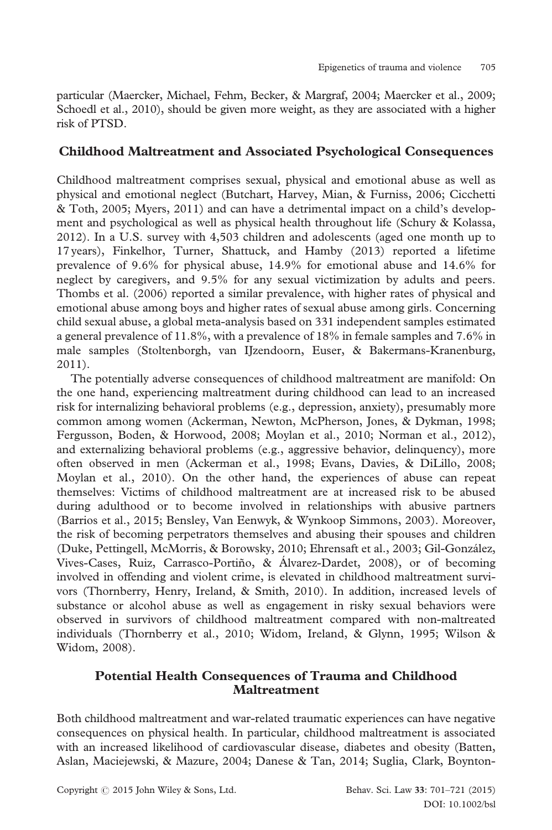particular (Maercker, Michael, Fehm, Becker, & Margraf, 2004; Maercker et al., 2009; Schoedl et al., 2010), should be given more weight, as they are associated with a higher risk of PTSD.

## Childhood Maltreatment and Associated Psychological Consequences

Childhood maltreatment comprises sexual, physical and emotional abuse as well as physical and emotional neglect (Butchart, Harvey, Mian, & Furniss, 2006; Cicchetti & Toth, 2005; Myers, 2011) and can have a detrimental impact on a child's development and psychological as well as physical health throughout life (Schury & Kolassa, 2012). In a U.S. survey with 4,503 children and adolescents (aged one month up to 17 years), Finkelhor, Turner, Shattuck, and Hamby (2013) reported a lifetime prevalence of 9.6% for physical abuse, 14.9% for emotional abuse and 14.6% for neglect by caregivers, and 9.5% for any sexual victimization by adults and peers. Thombs et al. (2006) reported a similar prevalence, with higher rates of physical and emotional abuse among boys and higher rates of sexual abuse among girls. Concerning child sexual abuse, a global meta-analysis based on 331 independent samples estimated a general prevalence of 11.8%, with a prevalence of 18% in female samples and 7.6% in male samples (Stoltenborgh, van IJzendoorn, Euser, & Bakermans-Kranenburg, 2011).

The potentially adverse consequences of childhood maltreatment are manifold: On the one hand, experiencing maltreatment during childhood can lead to an increased risk for internalizing behavioral problems (e.g., depression, anxiety), presumably more common among women (Ackerman, Newton, McPherson, Jones, & Dykman, 1998; Fergusson, Boden, & Horwood, 2008; Moylan et al., 2010; Norman et al., 2012), and externalizing behavioral problems (e.g., aggressive behavior, delinquency), more often observed in men (Ackerman et al., 1998; Evans, Davies, & DiLillo, 2008; Moylan et al., 2010). On the other hand, the experiences of abuse can repeat themselves: Victims of childhood maltreatment are at increased risk to be abused during adulthood or to become involved in relationships with abusive partners (Barrios et al., 2015; Bensley, Van Eenwyk, & Wynkoop Simmons, 2003). Moreover, the risk of becoming perpetrators themselves and abusing their spouses and children (Duke, Pettingell, McMorris, & Borowsky, 2010; Ehrensaft et al., 2003; Gil-González, Vives-Cases, Ruiz, Carrasco-Portiño, & Álvarez-Dardet, 2008), or of becoming involved in offending and violent crime, is elevated in childhood maltreatment survivors (Thornberry, Henry, Ireland, & Smith, 2010). In addition, increased levels of substance or alcohol abuse as well as engagement in risky sexual behaviors were observed in survivors of childhood maltreatment compared with non-maltreated individuals (Thornberry et al., 2010; Widom, Ireland, & Glynn, 1995; Wilson & Widom, 2008).

## Potential Health Consequences of Trauma and Childhood Maltreatment

Both childhood maltreatment and war-related traumatic experiences can have negative consequences on physical health. In particular, childhood maltreatment is associated with an increased likelihood of cardiovascular disease, diabetes and obesity (Batten, Aslan, Maciejewski, & Mazure, 2004; Danese & Tan, 2014; Suglia, Clark, Boynton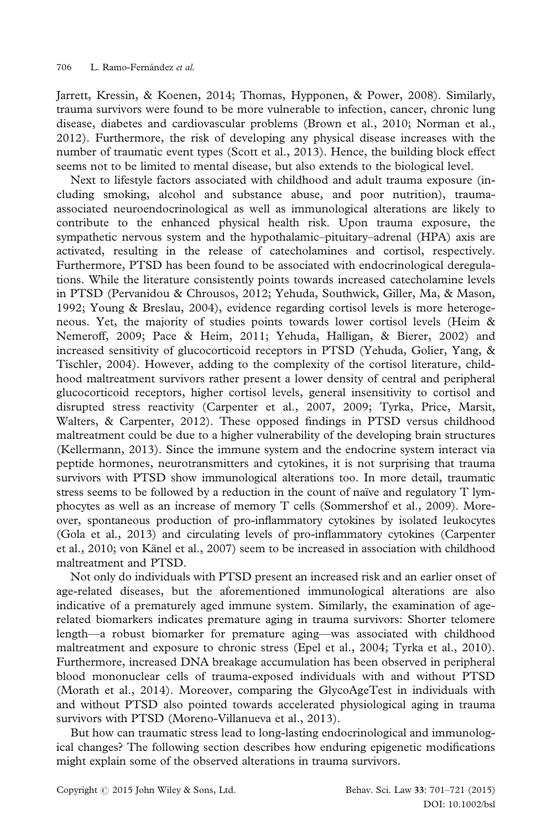Jarrett, Kressin, & Koenen, 2014; Thomas, Hypponen, & Power, 2008). Similarly, trauma survivors were found to be more vulnerable to infection, cancer, chronic lung disease, diabetes and cardiovascular problems (Brown et al., 2010; Norman et al., 2012). Furthermore, the risk of developing any physical disease increases with the number of traumatic event types (Scott et al., 2013). Hence, the building block effect seems not to be limited to mental disease, but also extends to the biological level.

Next to lifestyle factors associated with childhood and adult trauma exposure (including smoking, alcohol and substance abuse, and poor nutrition), traumaassociated neuroendocrinological as well as immunological alterations are likely to contribute to the enhanced physical health risk. Upon trauma exposure, the sympathetic nervous system and the hypothalamic–pituitary–adrenal (HPA) axis are activated, resulting in the release of catecholamines and cortisol, respectively. Furthermore, PTSD has been found to be associated with endocrinological deregulations. While the literature consistently points towards increased catecholamine levels in PTSD (Pervanidou & Chrousos, 2012; Yehuda, Southwick, Giller, Ma, & Mason, 1992; Young & Breslau, 2004), evidence regarding cortisol levels is more heterogeneous. Yet, the majority of studies points towards lower cortisol levels (Heim & Nemeroff, 2009; Pace & Heim, 2011; Yehuda, Halligan, & Bierer, 2002) and increased sensitivity of glucocorticoid receptors in PTSD (Yehuda, Golier, Yang, & Tischler, 2004). However, adding to the complexity of the cortisol literature, childhood maltreatment survivors rather present a lower density of central and peripheral glucocorticoid receptors, higher cortisol levels, general insensitivity to cortisol and disrupted stress reactivity (Carpenter et al., 2007, 2009; Tyrka, Price, Marsit, Walters, & Carpenter, 2012). These opposed findings in PTSD versus childhood maltreatment could be due to a higher vulnerability of the developing brain structures (Kellermann, 2013). Since the immune system and the endocrine system interact via peptide hormones, neurotransmitters and cytokines, it is not surprising that trauma survivors with PTSD show immunological alterations too. In more detail, traumatic stress seems to be followed by a reduction in the count of naïve and regulatory T lymphocytes as well as an increase of memory T cells (Sommershof et al., 2009). Moreover, spontaneous production of pro-inflammatory cytokines by isolated leukocytes (Gola et al., 2013) and circulating levels of pro-inflammatory cytokines (Carpenter et al., 2010; von Känel et al., 2007) seem to be increased in association with childhood maltreatment and PTSD.

Not only do individuals with PTSD present an increased risk and an earlier onset of age-related diseases, but the aforementioned immunological alterations are also indicative of a prematurely aged immune system. Similarly, the examination of agerelated biomarkers indicates premature aging in trauma survivors: Shorter telomere length—a robust biomarker for premature aging—was associated with childhood maltreatment and exposure to chronic stress (Epel et al., 2004; Tyrka et al., 2010). Furthermore, increased DNA breakage accumulation has been observed in peripheral blood mononuclear cells of trauma-exposed individuals with and without PTSD (Morath et al., 2014). Moreover, comparing the GlycoAgeTest in individuals with and without PTSD also pointed towards accelerated physiological aging in trauma survivors with PTSD (Moreno-Villanueva et al., 2013).

But how can traumatic stress lead to long-lasting endocrinological and immunological changes? The following section describes how enduring epigenetic modifications might explain some of the observed alterations in trauma survivors.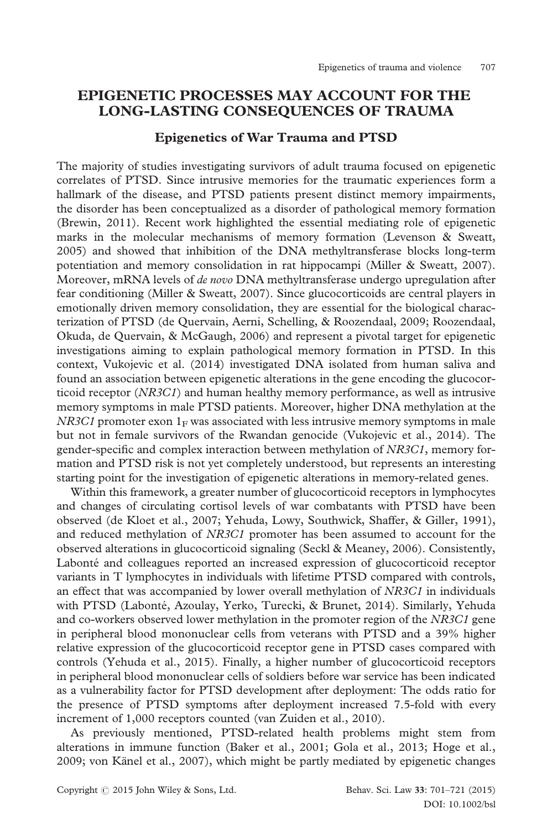# EPIGENETIC PROCESSES MAY ACCOUNT FOR THE LONG-LASTING CONSEQUENCES OF TRAUMA

#### Epigenetics of War Trauma and PTSD

The majority of studies investigating survivors of adult trauma focused on epigenetic correlates of PTSD. Since intrusive memories for the traumatic experiences form a hallmark of the disease, and PTSD patients present distinct memory impairments, the disorder has been conceptualized as a disorder of pathological memory formation (Brewin, 2011). Recent work highlighted the essential mediating role of epigenetic marks in the molecular mechanisms of memory formation (Levenson & Sweatt, 2005) and showed that inhibition of the DNA methyltransferase blocks long-term potentiation and memory consolidation in rat hippocampi (Miller & Sweatt, 2007). Moreover, mRNA levels of *de novo* DNA methyltransferase undergo upregulation after fear conditioning (Miller & Sweatt, 2007). Since glucocorticoids are central players in emotionally driven memory consolidation, they are essential for the biological characterization of PTSD (de Quervain, Aerni, Schelling, & Roozendaal, 2009; Roozendaal, Okuda, de Quervain, & McGaugh, 2006) and represent a pivotal target for epigenetic investigations aiming to explain pathological memory formation in PTSD. In this context, Vukojevic et al. (2014) investigated DNA isolated from human saliva and found an association between epigenetic alterations in the gene encoding the glucocorticoid receptor (NR3C1) and human healthy memory performance, as well as intrusive memory symptoms in male PTSD patients. Moreover, higher DNA methylation at the NR3C1 promoter exon  $1_F$  was associated with less intrusive memory symptoms in male but not in female survivors of the Rwandan genocide (Vukojevic et al., 2014). The gender-specific and complex interaction between methylation of NR3C1, memory formation and PTSD risk is not yet completely understood, but represents an interesting starting point for the investigation of epigenetic alterations in memory-related genes.

Within this framework, a greater number of glucocorticoid receptors in lymphocytes and changes of circulating cortisol levels of war combatants with PTSD have been observed (de Kloet et al., 2007; Yehuda, Lowy, Southwick, Shaffer, & Giller, 1991), and reduced methylation of NR3C1 promoter has been assumed to account for the observed alterations in glucocorticoid signaling (Seckl & Meaney, 2006). Consistently, Labonté and colleagues reported an increased expression of glucocorticoid receptor variants in T lymphocytes in individuals with lifetime PTSD compared with controls, an effect that was accompanied by lower overall methylation of NR3C1 in individuals with PTSD (Labonté, Azoulay, Yerko, Turecki, & Brunet, 2014). Similarly, Yehuda and co-workers observed lower methylation in the promoter region of the NR3C1 gene in peripheral blood mononuclear cells from veterans with PTSD and a 39% higher relative expression of the glucocorticoid receptor gene in PTSD cases compared with controls (Yehuda et al., 2015). Finally, a higher number of glucocorticoid receptors in peripheral blood mononuclear cells of soldiers before war service has been indicated as a vulnerability factor for PTSD development after deployment: The odds ratio for the presence of PTSD symptoms after deployment increased 7.5-fold with every increment of 1,000 receptors counted (van Zuiden et al., 2010).

As previously mentioned, PTSD-related health problems might stem from alterations in immune function (Baker et al., 2001; Gola et al., 2013; Hoge et al., 2009; von Känel et al., 2007), which might be partly mediated by epigenetic changes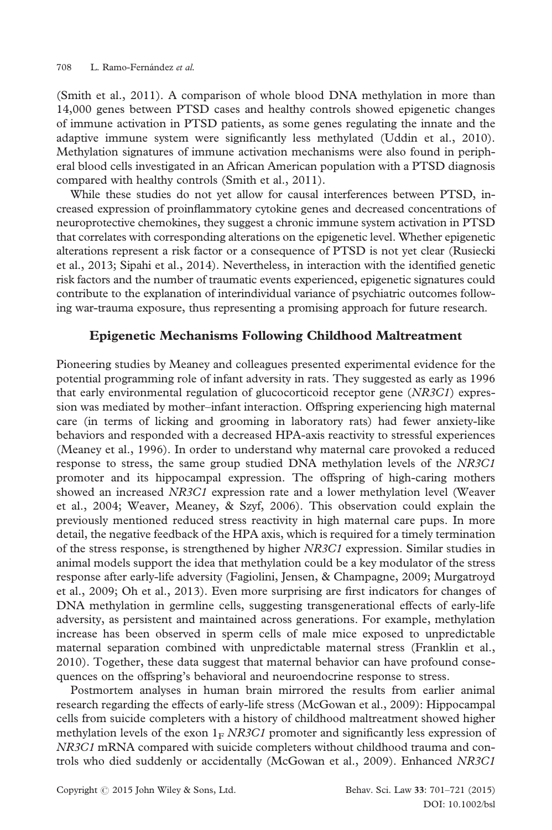(Smith et al., 2011). A comparison of whole blood DNA methylation in more than 14,000 genes between PTSD cases and healthy controls showed epigenetic changes of immune activation in PTSD patients, as some genes regulating the innate and the adaptive immune system were significantly less methylated (Uddin et al., 2010). Methylation signatures of immune activation mechanisms were also found in peripheral blood cells investigated in an African American population with a PTSD diagnosis compared with healthy controls (Smith et al., 2011).

While these studies do not yet allow for causal interferences between PTSD, increased expression of proinflammatory cytokine genes and decreased concentrations of neuroprotective chemokines, they suggest a chronic immune system activation in PTSD that correlates with corresponding alterations on the epigenetic level. Whether epigenetic alterations represent a risk factor or a consequence of PTSD is not yet clear (Rusiecki et al., 2013; Sipahi et al., 2014). Nevertheless, in interaction with the identified genetic risk factors and the number of traumatic events experienced, epigenetic signatures could contribute to the explanation of interindividual variance of psychiatric outcomes following war-trauma exposure, thus representing a promising approach for future research.

#### Epigenetic Mechanisms Following Childhood Maltreatment

Pioneering studies by Meaney and colleagues presented experimental evidence for the potential programming role of infant adversity in rats. They suggested as early as 1996 that early environmental regulation of glucocorticoid receptor gene (NR3C1) expression was mediated by mother–infant interaction. Offspring experiencing high maternal care (in terms of licking and grooming in laboratory rats) had fewer anxiety-like behaviors and responded with a decreased HPA-axis reactivity to stressful experiences (Meaney et al., 1996). In order to understand why maternal care provoked a reduced response to stress, the same group studied DNA methylation levels of the NR3C1 promoter and its hippocampal expression. The offspring of high-caring mothers showed an increased NR3C1 expression rate and a lower methylation level (Weaver et al., 2004; Weaver, Meaney, & Szyf, 2006). This observation could explain the previously mentioned reduced stress reactivity in high maternal care pups. In more detail, the negative feedback of the HPA axis, which is required for a timely termination of the stress response, is strengthened by higher NR3C1 expression. Similar studies in animal models support the idea that methylation could be a key modulator of the stress response after early-life adversity (Fagiolini, Jensen, & Champagne, 2009; Murgatroyd et al., 2009; Oh et al., 2013). Even more surprising are first indicators for changes of DNA methylation in germline cells, suggesting transgenerational effects of early-life adversity, as persistent and maintained across generations. For example, methylation increase has been observed in sperm cells of male mice exposed to unpredictable maternal separation combined with unpredictable maternal stress (Franklin et al., 2010). Together, these data suggest that maternal behavior can have profound consequences on the offspring's behavioral and neuroendocrine response to stress.

Postmortem analyses in human brain mirrored the results from earlier animal research regarding the effects of early-life stress (McGowan et al., 2009): Hippocampal cells from suicide completers with a history of childhood maltreatment showed higher methylation levels of the exon  $1_F$  NR3C1 promoter and significantly less expression of NR3C1 mRNA compared with suicide completers without childhood trauma and controls who died suddenly or accidentally (McGowan et al., 2009). Enhanced NR3C1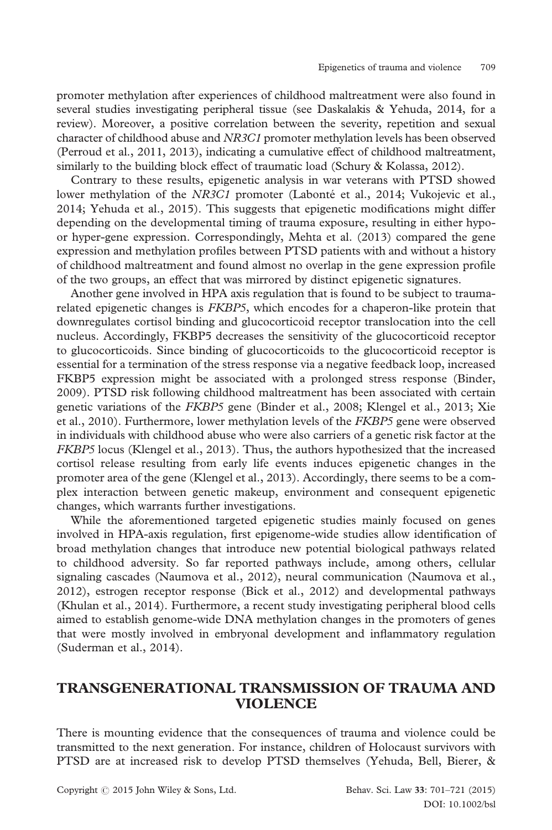promoter methylation after experiences of childhood maltreatment were also found in several studies investigating peripheral tissue (see Daskalakis & Yehuda, 2014, for a review). Moreover, a positive correlation between the severity, repetition and sexual character of childhood abuse and NR3C1 promoter methylation levels has been observed (Perroud et al., 2011, 2013), indicating a cumulative effect of childhood maltreatment, similarly to the building block effect of traumatic load (Schury & Kolassa, 2012).

Contrary to these results, epigenetic analysis in war veterans with PTSD showed lower methylation of the NR3C1 promoter (Labonté et al., 2014; Vukojevic et al., 2014; Yehuda et al., 2015). This suggests that epigenetic modifications might differ depending on the developmental timing of trauma exposure, resulting in either hypoor hyper-gene expression. Correspondingly, Mehta et al. (2013) compared the gene expression and methylation profiles between PTSD patients with and without a history of childhood maltreatment and found almost no overlap in the gene expression profile of the two groups, an effect that was mirrored by distinct epigenetic signatures.

Another gene involved in HPA axis regulation that is found to be subject to traumarelated epigenetic changes is FKBP5, which encodes for a chaperon-like protein that downregulates cortisol binding and glucocorticoid receptor translocation into the cell nucleus. Accordingly, FKBP5 decreases the sensitivity of the glucocorticoid receptor to glucocorticoids. Since binding of glucocorticoids to the glucocorticoid receptor is essential for a termination of the stress response via a negative feedback loop, increased FKBP5 expression might be associated with a prolonged stress response (Binder, 2009). PTSD risk following childhood maltreatment has been associated with certain genetic variations of the FKBP5 gene (Binder et al., 2008; Klengel et al., 2013; Xie et al., 2010). Furthermore, lower methylation levels of the FKBP5 gene were observed in individuals with childhood abuse who were also carriers of a genetic risk factor at the FKBP5 locus (Klengel et al., 2013). Thus, the authors hypothesized that the increased cortisol release resulting from early life events induces epigenetic changes in the promoter area of the gene (Klengel et al., 2013). Accordingly, there seems to be a complex interaction between genetic makeup, environment and consequent epigenetic changes, which warrants further investigations.

While the aforementioned targeted epigenetic studies mainly focused on genes involved in HPA-axis regulation, first epigenome-wide studies allow identification of broad methylation changes that introduce new potential biological pathways related to childhood adversity. So far reported pathways include, among others, cellular signaling cascades (Naumova et al., 2012), neural communication (Naumova et al., 2012), estrogen receptor response (Bick et al., 2012) and developmental pathways (Khulan et al., 2014). Furthermore, a recent study investigating peripheral blood cells aimed to establish genome-wide DNA methylation changes in the promoters of genes that were mostly involved in embryonal development and inflammatory regulation (Suderman et al., 2014).

# TRANSGENERATIONAL TRANSMISSION OF TRAUMA AND VIOLENCE

There is mounting evidence that the consequences of trauma and violence could be transmitted to the next generation. For instance, children of Holocaust survivors with PTSD are at increased risk to develop PTSD themselves (Yehuda, Bell, Bierer, &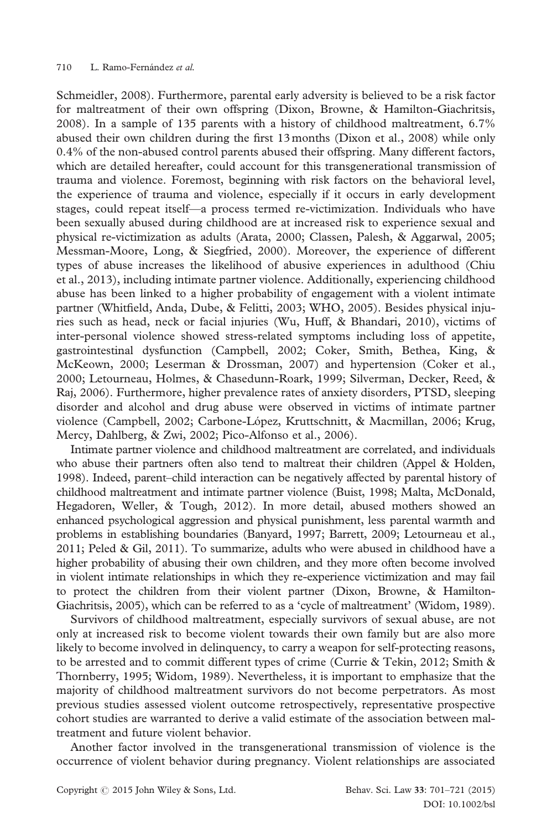Schmeidler, 2008). Furthermore, parental early adversity is believed to be a risk factor for maltreatment of their own offspring (Dixon, Browne, & Hamilton-Giachritsis, 2008). In a sample of 135 parents with a history of childhood maltreatment, 6.7% abused their own children during the first 13 months (Dixon et al., 2008) while only 0.4% of the non-abused control parents abused their offspring. Many different factors, which are detailed hereafter, could account for this transgenerational transmission of trauma and violence. Foremost, beginning with risk factors on the behavioral level, the experience of trauma and violence, especially if it occurs in early development stages, could repeat itself—a process termed re-victimization. Individuals who have been sexually abused during childhood are at increased risk to experience sexual and physical re-victimization as adults (Arata, 2000; Classen, Palesh, & Aggarwal, 2005; Messman-Moore, Long, & Siegfried, 2000). Moreover, the experience of different types of abuse increases the likelihood of abusive experiences in adulthood (Chiu et al., 2013), including intimate partner violence. Additionally, experiencing childhood abuse has been linked to a higher probability of engagement with a violent intimate partner (Whitfield, Anda, Dube, & Felitti, 2003; WHO, 2005). Besides physical injuries such as head, neck or facial injuries (Wu, Huff, & Bhandari, 2010), victims of inter-personal violence showed stress-related symptoms including loss of appetite, gastrointestinal dysfunction (Campbell, 2002; Coker, Smith, Bethea, King, & McKeown, 2000; Leserman & Drossman, 2007) and hypertension (Coker et al., 2000; Letourneau, Holmes, & Chasedunn-Roark, 1999; Silverman, Decker, Reed, & Raj, 2006). Furthermore, higher prevalence rates of anxiety disorders, PTSD, sleeping disorder and alcohol and drug abuse were observed in victims of intimate partner violence (Campbell, 2002; Carbone-López, Kruttschnitt, & Macmillan, 2006; Krug, Mercy, Dahlberg, & Zwi, 2002; Pico-Alfonso et al., 2006).

Intimate partner violence and childhood maltreatment are correlated, and individuals who abuse their partners often also tend to maltreat their children (Appel & Holden, 1998). Indeed, parent–child interaction can be negatively affected by parental history of childhood maltreatment and intimate partner violence (Buist, 1998; Malta, McDonald, Hegadoren, Weller, & Tough, 2012). In more detail, abused mothers showed an enhanced psychological aggression and physical punishment, less parental warmth and problems in establishing boundaries (Banyard, 1997; Barrett, 2009; Letourneau et al., 2011; Peled & Gil, 2011). To summarize, adults who were abused in childhood have a higher probability of abusing their own children, and they more often become involved in violent intimate relationships in which they re-experience victimization and may fail to protect the children from their violent partner (Dixon, Browne, & Hamilton-Giachritsis, 2005), which can be referred to as a 'cycle of maltreatment' (Widom, 1989).

Survivors of childhood maltreatment, especially survivors of sexual abuse, are not only at increased risk to become violent towards their own family but are also more likely to become involved in delinquency, to carry a weapon for self-protecting reasons, to be arrested and to commit different types of crime (Currie & Tekin, 2012; Smith & Thornberry, 1995; Widom, 1989). Nevertheless, it is important to emphasize that the majority of childhood maltreatment survivors do not become perpetrators. As most previous studies assessed violent outcome retrospectively, representative prospective cohort studies are warranted to derive a valid estimate of the association between maltreatment and future violent behavior.

Another factor involved in the transgenerational transmission of violence is the occurrence of violent behavior during pregnancy. Violent relationships are associated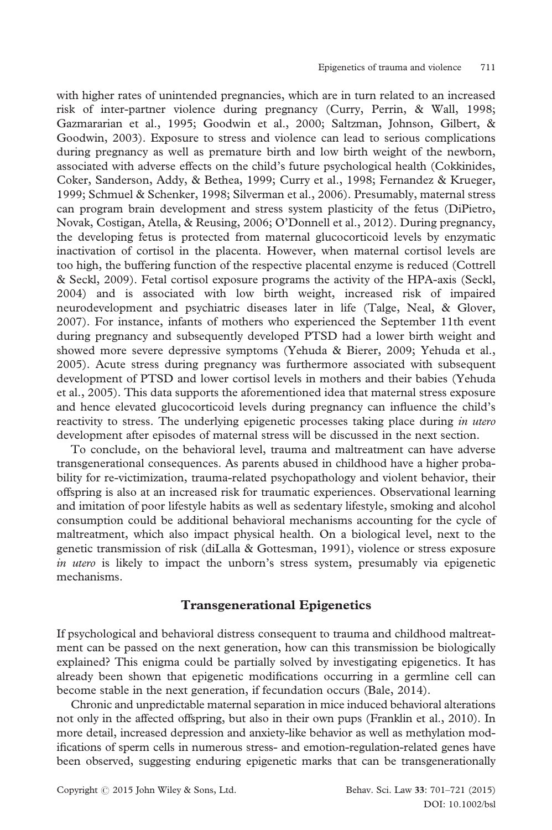with higher rates of unintended pregnancies, which are in turn related to an increased risk of inter-partner violence during pregnancy (Curry, Perrin, & Wall, 1998; Gazmararian et al., 1995; Goodwin et al., 2000; Saltzman, Johnson, Gilbert, & Goodwin, 2003). Exposure to stress and violence can lead to serious complications during pregnancy as well as premature birth and low birth weight of the newborn, associated with adverse effects on the child's future psychological health (Cokkinides, Coker, Sanderson, Addy, & Bethea, 1999; Curry et al., 1998; Fernandez & Krueger, 1999; Schmuel & Schenker, 1998; Silverman et al., 2006). Presumably, maternal stress can program brain development and stress system plasticity of the fetus (DiPietro, Novak, Costigan, Atella, & Reusing, 2006; O'Donnell et al., 2012). During pregnancy, the developing fetus is protected from maternal glucocorticoid levels by enzymatic inactivation of cortisol in the placenta. However, when maternal cortisol levels are too high, the buffering function of the respective placental enzyme is reduced (Cottrell & Seckl, 2009). Fetal cortisol exposure programs the activity of the HPA-axis (Seckl, 2004) and is associated with low birth weight, increased risk of impaired neurodevelopment and psychiatric diseases later in life (Talge, Neal, & Glover, 2007). For instance, infants of mothers who experienced the September 11th event during pregnancy and subsequently developed PTSD had a lower birth weight and showed more severe depressive symptoms (Yehuda & Bierer, 2009; Yehuda et al., 2005). Acute stress during pregnancy was furthermore associated with subsequent development of PTSD and lower cortisol levels in mothers and their babies (Yehuda et al., 2005). This data supports the aforementioned idea that maternal stress exposure and hence elevated glucocorticoid levels during pregnancy can influence the child's reactivity to stress. The underlying epigenetic processes taking place during in utero development after episodes of maternal stress will be discussed in the next section.

To conclude, on the behavioral level, trauma and maltreatment can have adverse transgenerational consequences. As parents abused in childhood have a higher probability for re-victimization, trauma-related psychopathology and violent behavior, their offspring is also at an increased risk for traumatic experiences. Observational learning and imitation of poor lifestyle habits as well as sedentary lifestyle, smoking and alcohol consumption could be additional behavioral mechanisms accounting for the cycle of maltreatment, which also impact physical health. On a biological level, next to the genetic transmission of risk (diLalla & Gottesman, 1991), violence or stress exposure in utero is likely to impact the unborn's stress system, presumably via epigenetic mechanisms.

#### Transgenerational Epigenetics

If psychological and behavioral distress consequent to trauma and childhood maltreatment can be passed on the next generation, how can this transmission be biologically explained? This enigma could be partially solved by investigating epigenetics. It has already been shown that epigenetic modifications occurring in a germline cell can become stable in the next generation, if fecundation occurs (Bale, 2014).

Chronic and unpredictable maternal separation in mice induced behavioral alterations not only in the affected offspring, but also in their own pups (Franklin et al., 2010). In more detail, increased depression and anxiety-like behavior as well as methylation modifications of sperm cells in numerous stress- and emotion-regulation-related genes have been observed, suggesting enduring epigenetic marks that can be transgenerationally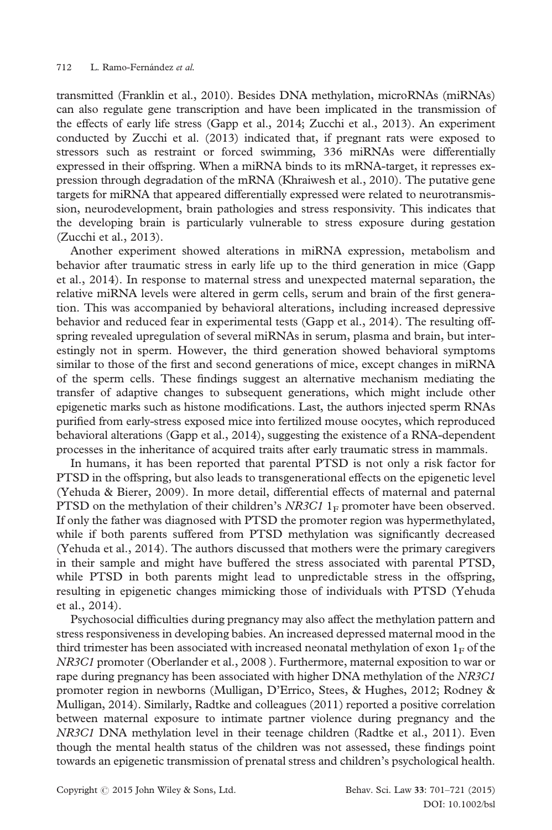transmitted (Franklin et al., 2010). Besides DNA methylation, microRNAs (miRNAs) can also regulate gene transcription and have been implicated in the transmission of the effects of early life stress (Gapp et al., 2014; Zucchi et al., 2013). An experiment conducted by Zucchi et al. (2013) indicated that, if pregnant rats were exposed to stressors such as restraint or forced swimming, 336 miRNAs were differentially expressed in their offspring. When a miRNA binds to its mRNA-target, it represses expression through degradation of the mRNA (Khraiwesh et al., 2010). The putative gene targets for miRNA that appeared differentially expressed were related to neurotransmission, neurodevelopment, brain pathologies and stress responsivity. This indicates that the developing brain is particularly vulnerable to stress exposure during gestation (Zucchi et al., 2013).

Another experiment showed alterations in miRNA expression, metabolism and behavior after traumatic stress in early life up to the third generation in mice (Gapp et al., 2014). In response to maternal stress and unexpected maternal separation, the relative miRNA levels were altered in germ cells, serum and brain of the first generation. This was accompanied by behavioral alterations, including increased depressive behavior and reduced fear in experimental tests (Gapp et al., 2014). The resulting offspring revealed upregulation of several miRNAs in serum, plasma and brain, but interestingly not in sperm. However, the third generation showed behavioral symptoms similar to those of the first and second generations of mice, except changes in miRNA of the sperm cells. These findings suggest an alternative mechanism mediating the transfer of adaptive changes to subsequent generations, which might include other epigenetic marks such as histone modifications. Last, the authors injected sperm RNAs purified from early-stress exposed mice into fertilized mouse oocytes, which reproduced behavioral alterations (Gapp et al., 2014), suggesting the existence of a RNA-dependent processes in the inheritance of acquired traits after early traumatic stress in mammals.

In humans, it has been reported that parental PTSD is not only a risk factor for PTSD in the offspring, but also leads to transgenerational effects on the epigenetic level (Yehuda & Bierer, 2009). In more detail, differential effects of maternal and paternal PTSD on the methylation of their children's NR3C1  $1_F$  promoter have been observed. If only the father was diagnosed with PTSD the promoter region was hypermethylated, while if both parents suffered from PTSD methylation was significantly decreased (Yehuda et al., 2014). The authors discussed that mothers were the primary caregivers in their sample and might have buffered the stress associated with parental PTSD, while PTSD in both parents might lead to unpredictable stress in the offspring, resulting in epigenetic changes mimicking those of individuals with PTSD (Yehuda et al., 2014).

Psychosocial difficulties during pregnancy may also affect the methylation pattern and stress responsiveness in developing babies. An increased depressed maternal mood in the third trimester has been associated with increased neonatal methylation of exon  $1_F$  of the NR3C1 promoter (Oberlander et al., 2008 ). Furthermore, maternal exposition to war or rape during pregnancy has been associated with higher DNA methylation of the NR3C1 promoter region in newborns (Mulligan, D'Errico, Stees, & Hughes, 2012; Rodney & Mulligan, 2014). Similarly, Radtke and colleagues (2011) reported a positive correlation between maternal exposure to intimate partner violence during pregnancy and the NR3C1 DNA methylation level in their teenage children (Radtke et al., 2011). Even though the mental health status of the children was not assessed, these findings point towards an epigenetic transmission of prenatal stress and children's psychological health.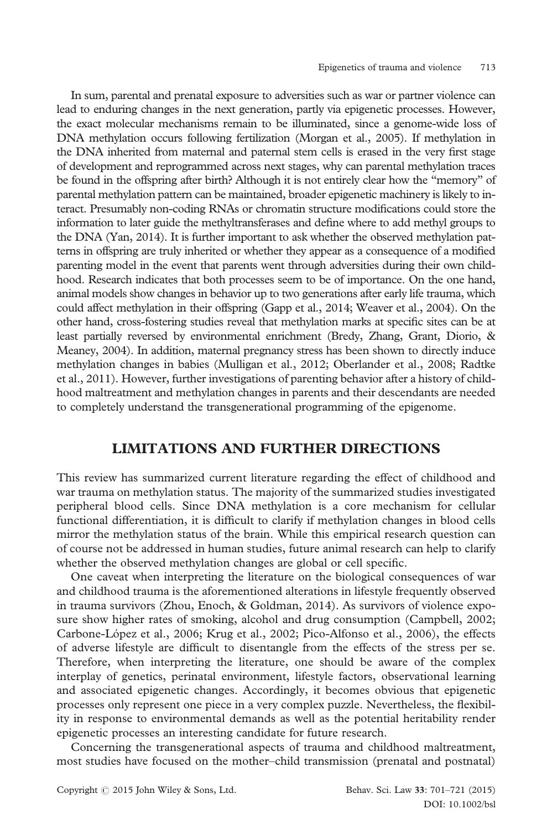In sum, parental and prenatal exposure to adversities such as war or partner violence can lead to enduring changes in the next generation, partly via epigenetic processes. However, the exact molecular mechanisms remain to be illuminated, since a genome-wide loss of DNA methylation occurs following fertilization (Morgan et al., 2005). If methylation in the DNA inherited from maternal and paternal stem cells is erased in the very first stage of development and reprogrammed across next stages, why can parental methylation traces be found in the offspring after birth? Although it is not entirely clear how the "memory" of parental methylation pattern can be maintained, broader epigenetic machinery is likely to interact. Presumably non-coding RNAs or chromatin structure modifications could store the information to later guide the methyltransferases and define where to add methyl groups to the DNA (Yan, 2014). It is further important to ask whether the observed methylation patterns in offspring are truly inherited or whether they appear as a consequence of a modified parenting model in the event that parents went through adversities during their own childhood. Research indicates that both processes seem to be of importance. On the one hand, animal models show changes in behavior up to two generations after early life trauma, which could affect methylation in their offspring (Gapp et al., 2014; Weaver et al., 2004). On the other hand, cross-fostering studies reveal that methylation marks at specific sites can be at least partially reversed by environmental enrichment (Bredy, Zhang, Grant, Diorio, & Meaney, 2004). In addition, maternal pregnancy stress has been shown to directly induce methylation changes in babies (Mulligan et al., 2012; Oberlander et al., 2008; Radtke et al., 2011). However, further investigations of parenting behavior after a history of childhood maltreatment and methylation changes in parents and their descendants are needed to completely understand the transgenerational programming of the epigenome.

## LIMITATIONS AND FURTHER DIRECTIONS

This review has summarized current literature regarding the effect of childhood and war trauma on methylation status. The majority of the summarized studies investigated peripheral blood cells. Since DNA methylation is a core mechanism for cellular functional differentiation, it is difficult to clarify if methylation changes in blood cells mirror the methylation status of the brain. While this empirical research question can of course not be addressed in human studies, future animal research can help to clarify whether the observed methylation changes are global or cell specific.

One caveat when interpreting the literature on the biological consequences of war and childhood trauma is the aforementioned alterations in lifestyle frequently observed in trauma survivors (Zhou, Enoch, & Goldman, 2014). As survivors of violence exposure show higher rates of smoking, alcohol and drug consumption (Campbell, 2002; Carbone-López et al., 2006; Krug et al., 2002; Pico-Alfonso et al., 2006), the effects of adverse lifestyle are difficult to disentangle from the effects of the stress per se. Therefore, when interpreting the literature, one should be aware of the complex interplay of genetics, perinatal environment, lifestyle factors, observational learning and associated epigenetic changes. Accordingly, it becomes obvious that epigenetic processes only represent one piece in a very complex puzzle. Nevertheless, the flexibility in response to environmental demands as well as the potential heritability render epigenetic processes an interesting candidate for future research.

Concerning the transgenerational aspects of trauma and childhood maltreatment, most studies have focused on the mother–child transmission (prenatal and postnatal)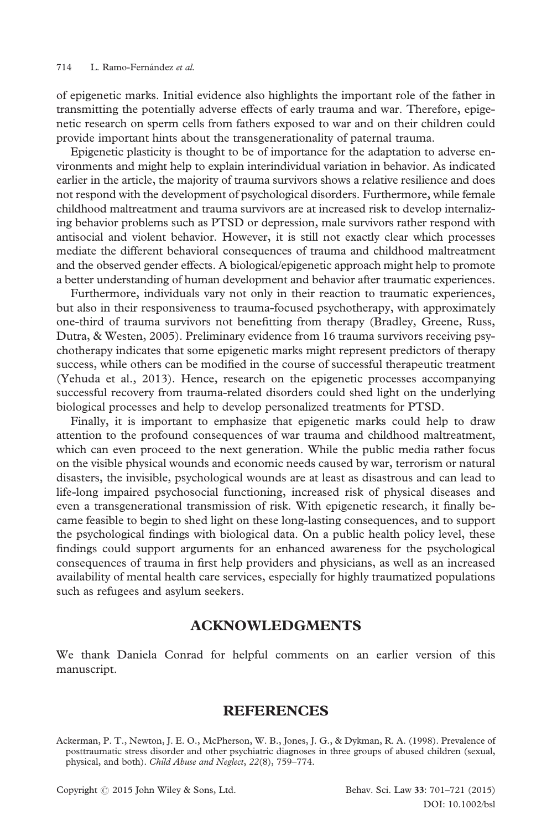of epigenetic marks. Initial evidence also highlights the important role of the father in transmitting the potentially adverse effects of early trauma and war. Therefore, epigenetic research on sperm cells from fathers exposed to war and on their children could provide important hints about the transgenerationality of paternal trauma.

Epigenetic plasticity is thought to be of importance for the adaptation to adverse environments and might help to explain interindividual variation in behavior. As indicated earlier in the article, the majority of trauma survivors shows a relative resilience and does not respond with the development of psychological disorders. Furthermore, while female childhood maltreatment and trauma survivors are at increased risk to develop internalizing behavior problems such as PTSD or depression, male survivors rather respond with antisocial and violent behavior. However, it is still not exactly clear which processes mediate the different behavioral consequences of trauma and childhood maltreatment and the observed gender effects. A biological/epigenetic approach might help to promote a better understanding of human development and behavior after traumatic experiences.

Furthermore, individuals vary not only in their reaction to traumatic experiences, but also in their responsiveness to trauma-focused psychotherapy, with approximately one-third of trauma survivors not benefitting from therapy (Bradley, Greene, Russ, Dutra, & Westen, 2005). Preliminary evidence from 16 trauma survivors receiving psychotherapy indicates that some epigenetic marks might represent predictors of therapy success, while others can be modified in the course of successful therapeutic treatment (Yehuda et al., 2013). Hence, research on the epigenetic processes accompanying successful recovery from trauma-related disorders could shed light on the underlying biological processes and help to develop personalized treatments for PTSD.

Finally, it is important to emphasize that epigenetic marks could help to draw attention to the profound consequences of war trauma and childhood maltreatment, which can even proceed to the next generation. While the public media rather focus on the visible physical wounds and economic needs caused by war, terrorism or natural disasters, the invisible, psychological wounds are at least as disastrous and can lead to life-long impaired psychosocial functioning, increased risk of physical diseases and even a transgenerational transmission of risk. With epigenetic research, it finally became feasible to begin to shed light on these long-lasting consequences, and to support the psychological findings with biological data. On a public health policy level, these findings could support arguments for an enhanced awareness for the psychological consequences of trauma in first help providers and physicians, as well as an increased availability of mental health care services, especially for highly traumatized populations such as refugees and asylum seekers.

## ACKNOWLEDGMENTS

We thank Daniela Conrad for helpful comments on an earlier version of this manuscript.

#### REFERENCES

Ackerman, P. T., Newton, J. E. O., McPherson, W. B., Jones, J. G., & Dykman, R. A. (1998). Prevalence of posttraumatic stress disorder and other psychiatric diagnoses in three groups of abused children (sexual, physical, and both). Child Abuse and Neglect, 22(8), 759–774.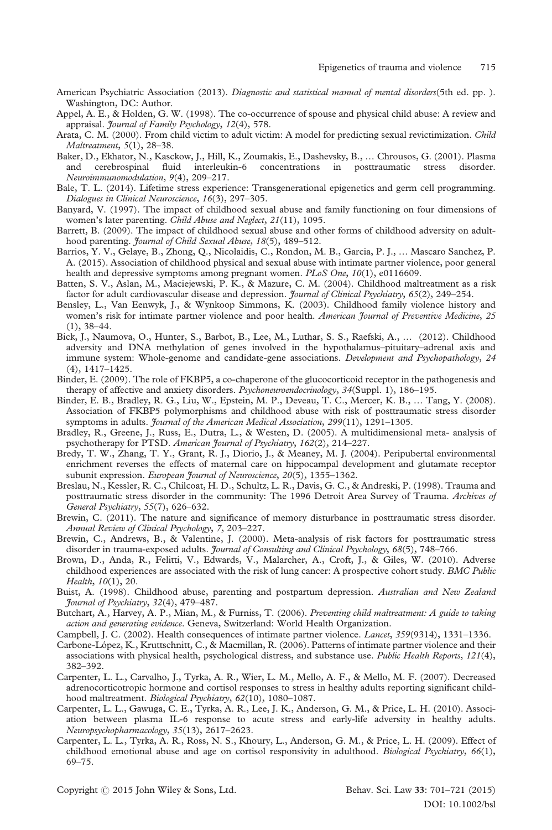- American Psychiatric Association (2013). Diagnostic and statistical manual of mental disorders(5th ed. pp.). Washington, DC: Author.
- Appel, A. E., & Holden, G. W. (1998). The co-occurrence of spouse and physical child abuse: A review and appraisal. *Journal of Family Psychology*, 12(4), 578.
- Arata, C. M. (2000). From child victim to adult victim: A model for predicting sexual revictimization. *Child* Maltreatment, 5(1), 28–38.
- Baker, D., Ekhator, N., Kasckow, J., Hill, K., Zoumakis, E., Dashevsky, B., … Chrousos, G. (2001). Plasma and cerebrospinal fluid interleukin-6 concentrations in posttraumatic stress disorder. Neuroimmunomodulation, 9(4), 209–217.
- Bale, T. L. (2014). Lifetime stress experience: Transgenerational epigenetics and germ cell programming. Dialogues in Clinical Neuroscience, 16(3), 297–305.
- Banyard, V. (1997). The impact of childhood sexual abuse and family functioning on four dimensions of women's later parenting. Child Abuse and Neglect, 21(11), 1095.
- Barrett, B. (2009). The impact of childhood sexual abuse and other forms of childhood adversity on adulthood parenting. *Journal of Child Sexual Abuse*, 18(5), 489–512.
- Barrios, Y. V., Gelaye, B., Zhong, Q., Nicolaidis, C., Rondon, M. B., Garcia, P. J., … Mascaro Sanchez, P. A. (2015). Association of childhood physical and sexual abuse with intimate partner violence, poor general health and depressive symptoms among pregnant women. PLoS One, 10(1), e0116609.
- Batten, S. V., Aslan, M., Maciejewski, P. K., & Mazure, C. M. (2004). Childhood maltreatment as a risk factor for adult cardiovascular disease and depression. *Journal of Clinical Psychiatry*, 65(2), 249-254.
- Bensley, L., Van Eenwyk, J., & Wynkoop Simmons, K. (2003). Childhood family violence history and women's risk for intimate partner violence and poor health. American Journal of Preventive Medicine, 25 (1), 38–44.
- Bick, J., Naumova, O., Hunter, S., Barbot, B., Lee, M., Luthar, S. S., Raefski, A., … (2012). Childhood adversity and DNA methylation of genes involved in the hypothalamus–pituitary–adrenal axis and immune system: Whole-genome and candidate-gene associations. Development and Psychopathology, 24 (4), 1417–1425.
- Binder, E. (2009). The role of FKBP5, a co-chaperone of the glucocorticoid receptor in the pathogenesis and therapy of affective and anxiety disorders. *Psychoneuroendocrinology*,  $34(Suppl. 1)$ ,  $186-195$ .
- Binder, E. B., Bradley, R. G., Liu, W., Epstein, M. P., Deveau, T. C., Mercer, K. B., … Tang, Y. (2008). Association of FKBP5 polymorphisms and childhood abuse with risk of posttraumatic stress disorder symptoms in adults. *Journal of the American Medical Association*, 299(11), 1291-1305.
- Bradley, R., Greene, J., Russ, E., Dutra, L., & Westen, D. (2005). A multidimensional meta- analysis of psychotherapy for PTSD. American Journal of Psychiatry, 162(2), 214-227.
- Bredy, T. W., Zhang, T. Y., Grant, R. J., Diorio, J., & Meaney, M. J. (2004). Peripubertal environmental enrichment reverses the effects of maternal care on hippocampal development and glutamate receptor subunit expression. European Journal of Neuroscience, 20(5), 1355-1362.
- Breslau, N., Kessler, R. C., Chilcoat, H. D., Schultz, L. R., Davis, G. C., & Andreski, P. (1998). Trauma and posttraumatic stress disorder in the community: The 1996 Detroit Area Survey of Trauma. Archives of General Psychiatry, 55(7), 626–632.
- Brewin, C. (2011). The nature and significance of memory disturbance in posttraumatic stress disorder. Annual Review of Clinical Psychology, 7, 203–227.
- Brewin, C., Andrews, B., & Valentine, J. (2000). Meta-analysis of risk factors for posttraumatic stress disorder in trauma-exposed adults. *Journal of Consulting and Clinical Psychology*, 68(5), 748-766.
- Brown, D., Anda, R., Felitti, V., Edwards, V., Malarcher, A., Croft, J., & Giles, W. (2010). Adverse childhood experiences are associated with the risk of lung cancer: A prospective cohort study. BMC Public Health, 10(1), 20.
- Buist, A. (1998). Childhood abuse, parenting and postpartum depression. Australian and New Zealand Journal of Psychiatry, 32(4), 479–487.
- Butchart, A., Harvey, A. P., Mian, M., & Furniss, T. (2006). Preventing child maltreatment: A guide to taking action and generating evidence. Geneva, Switzerland: World Health Organization.
- Campbell, J. C. (2002). Health consequences of intimate partner violence. Lancet, 359(9314), 1331–1336.
- Carbone-López, K., Kruttschnitt, C., & Macmillan, R. (2006). Patterns of intimate partner violence and their associations with physical health, psychological distress, and substance use. Public Health Reports, 121(4), 382–392.
- Carpenter, L. L., Carvalho, J., Tyrka, A. R., Wier, L. M., Mello, A. F., & Mello, M. F. (2007). Decreased adrenocorticotropic hormone and cortisol responses to stress in healthy adults reporting significant childhood maltreatment. Biological Psychiatry, 62(10), 1080–1087.
- Carpenter, L. L., Gawuga, C. E., Tyrka, A. R., Lee, J. K., Anderson, G. M., & Price, L. H. (2010). Association between plasma IL-6 response to acute stress and early-life adversity in healthy adults. Neuropsychopharmacology, 35(13), 2617–2623.
- Carpenter, L. L., Tyrka, A. R., Ross, N. S., Khoury, L., Anderson, G. M., & Price, L. H. (2009). Effect of childhood emotional abuse and age on cortisol responsivity in adulthood. Biological Psychiatry, 66(1), 69–75.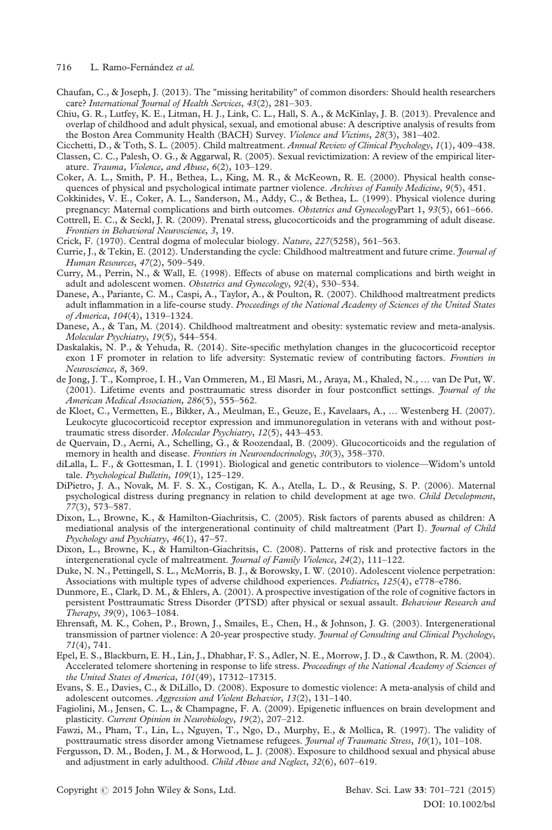716 L. Ramo-Fernández et al.

- Chaufan, C., & Joseph, J. (2013). The "missing heritability" of common disorders: Should health researchers care? International Journal of Health Services, 43(2), 281-303.
- Chiu, G. R., Lutfey, K. E., Litman, H. J., Link, C. L., Hall, S. A., & McKinlay, J. B. (2013). Prevalence and overlap of childhood and adult physical, sexual, and emotional abuse: A descriptive analysis of results from the Boston Area Community Health (BACH) Survey. Violence and Victims, 28(3), 381-402.
- Cicchetti, D., & Toth, S. L. (2005). Child maltreatment. Annual Review of Clinical Psychology, 1(1), 409–438. Classen, C. C., Palesh, O. G., & Aggarwal, R. (2005). Sexual revictimization: A review of the empirical liter-
- ature. Trauma, Violence, and Abuse, 6(2), 103-129. Coker, A. L., Smith, P. H., Bethea, L., King, M. R., & McKeown, R. E. (2000). Physical health consequences of physical and psychological intimate partner violence. Archives of Family Medicine, 9(5), 451.
- Cokkinides, V. E., Coker, A. L., Sanderson, M., Addy, C., & Bethea, L. (1999). Physical violence during
- pregnancy: Maternal complications and birth outcomes. Obstetrics and GynecologyPart 1, 93(5), 661–666. Cottrell, E. C., & Seckl, J. R. (2009). Prenatal stress, glucocorticoids and the programming of adult disease. Frontiers in Behavioral Neuroscience, 3, 19.
- Crick, F. (1970). Central dogma of molecular biology. Nature, 227(5258), 561–563.
- Currie, J., & Tekin, E. (2012). Understanding the cycle: Childhood maltreatment and future crime. *Journal of* Human Resources, 47(2), 509–549.
- Curry, M., Perrin, N., & Wall, E. (1998). Effects of abuse on maternal complications and birth weight in adult and adolescent women. Obstetrics and Gynecology, 92(4), 530-534.
- Danese, A., Pariante, C. M., Caspi, A., Taylor, A., & Poulton, R. (2007). Childhood maltreatment predicts adult inflammation in a life-course study. Proceedings of the National Academy of Sciences of the United States of America, 104(4), 1319–1324.
- Danese, A., & Tan, M. (2014). Childhood maltreatment and obesity: systematic review and meta-analysis. Molecular Psychiatry, 19(5), 544–554.
- Daskalakis, N. P., & Yehuda, R. (2014). Site-specific methylation changes in the glucocorticoid receptor exon 1 F promoter in relation to life adversity: Systematic review of contributing factors. Frontiers in Neuroscience, 8, 369.
- de Jong, J. T., Komproe, I. H., Van Ommeren, M., El Masri, M., Araya, M., Khaled, N., … van De Put, W. (2001). Lifetime events and posttraumatic stress disorder in four postconflict settings. *Journal of the* American Medical Association, 286(5), 555–562.
- de Kloet, C., Vermetten, E., Bikker, A., Meulman, E., Geuze, E., Kavelaars, A., … Westenberg H. (2007). Leukocyte glucocorticoid receptor expression and immunoregulation in veterans with and without posttraumatic stress disorder. Molecular Psychiatry, 12(5), 443–453.
- de Quervain, D., Aerni, A., Schelling, G., & Roozendaal, B. (2009). Glucocorticoids and the regulation of memory in health and disease. *Frontiers in Neuroendocrinology*, 30(3), 358–370.
- diLalla, L. F., & Gottesman, I. I. (1991). Biological and genetic contributors to violence—Widom's untold tale. Psychological Bulletin, 109(1), 125–129.
- DiPietro, J. A., Novak, M. F. S. X., Costigan, K. A., Atella, L. D., & Reusing, S. P. (2006). Maternal psychological distress during pregnancy in relation to child development at age two. Child Development, 77(3), 573–587.
- Dixon, L., Browne, K., & Hamilton-Giachritsis, C. (2005). Risk factors of parents abused as children: A mediational analysis of the intergenerational continuity of child maltreatment (Part I). *Journal of Child* Psychology and Psychiatry, 46(1), 47–57.
- Dixon, L., Browne, K., & Hamilton-Giachritsis, C. (2008). Patterns of risk and protective factors in the intergenerational cycle of maltreatment. *Journal of Family Violence*, 24(2), 111-122.
- Duke, N. N., Pettingell, S. L., McMorris, B. J., & Borowsky, I. W. (2010). Adolescent violence perpetration: Associations with multiple types of adverse childhood experiences. Pediatrics, 125(4), e778–e786.
- Dunmore, E., Clark, D. M., & Ehlers, A. (2001). A prospective investigation of the role of cognitive factors in persistent Posttraumatic Stress Disorder (PTSD) after physical or sexual assault. Behaviour Research and Therapy, 39(9), 1063–1084.
- Ehrensaft, M. K., Cohen, P., Brown, J., Smailes, E., Chen, H., & Johnson, J. G. (2003). Intergenerational transmission of partner violence: A 20-year prospective study. *Journal of Consulting and Clinical Psychology*, 71(4), 741.
- Epel, E. S., Blackburn, E. H., Lin, J., Dhabhar, F. S., Adler, N. E., Morrow, J. D., & Cawthon, R. M. (2004). Accelerated telomere shortening in response to life stress. Proceedings of the National Academy of Sciences of the United States of America, 101(49), 17312–17315.
- Evans, S. E., Davies, C., & DiLillo, D. (2008). Exposure to domestic violence: A meta-analysis of child and adolescent outcomes. Aggression and Violent Behavior, 13(2), 131-140.
- Fagiolini, M., Jensen, C. L., & Champagne, F. A. (2009). Epigenetic influences on brain development and plasticity. Current Opinion in Neurobiology, 19(2), 207–212.
- Fawzi, M., Pham, T., Lin, L., Nguyen, T., Ngo, D., Murphy, E., & Mollica, R. (1997). The validity of posttraumatic stress disorder among Vietnamese refugees. Journal of Traumatic Stress, 10(1), 101-108.
- Fergusson, D. M., Boden, J. M., & Horwood, L. J. (2008). Exposure to childhood sexual and physical abuse and adjustment in early adulthood. Child Abuse and Neglect, 32(6), 607–619.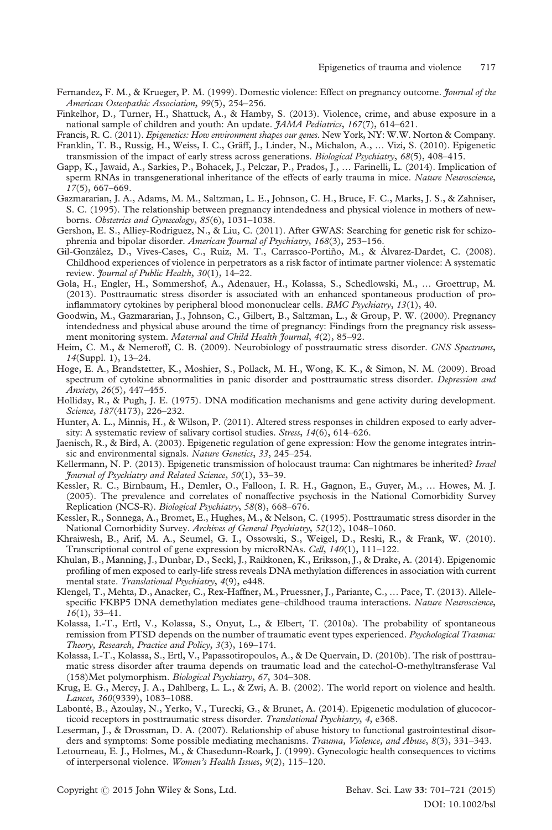- Fernandez, F. M., & Krueger, P. M. (1999). Domestic violence: Effect on pregnancy outcome. *Journal of the* American Osteopathic Association, 99(5), 254–256.
- Finkelhor, D., Turner, H., Shattuck, A., & Hamby, S. (2013). Violence, crime, and abuse exposure in a national sample of children and youth: An update. *JAMA Pediatrics*, 167(7), 614–621.
- Francis, R. C. (2011). *Epigenetics: How environment shapes our genes*. New York, NY: W.W. Norton & Company. Franklin, T. B., Russig, H., Weiss, I. C., Gräff, J., Linder, N., Michalon, A., … Vizi, S. (2010). Epigenetic transmission of the impact of early stress across generations. Biological Psychiatry, 68(5), 408-415.
- Gapp, K., Jawaid, A., Sarkies, P., Bohacek, J., Pelczar, P., Prados, J., … Farinelli, L. (2014). Implication of sperm RNAs in transgenerational inheritance of the effects of early trauma in mice. Nature Neuroscience, 17(5), 667–669.
- Gazmararian, J. A., Adams, M. M., Saltzman, L. E., Johnson, C. H., Bruce, F. C., Marks, J. S., & Zahniser, S. C. (1995). The relationship between pregnancy intendedness and physical violence in mothers of newborns. Obstetrics and Gynecology, 85(6), 1031–1038.
- Gershon, E. S., Alliey-Rodriguez, N., & Liu, C. (2011). After GWAS: Searching for genetic risk for schizophrenia and bipolar disorder. American Journal of Psychiatry, 168(3), 253-156.
- Gil-González, D., Vives-Cases, C., Ruiz, M. T., Carrasco-Portiño, M., & Álvarez-Dardet, C. (2008). Childhood experiences of violence in perpetrators as a risk factor of intimate partner violence: A systematic review. Journal of Public Health, 30(1), 14-22.
- Gola, H., Engler, H., Sommershof, A., Adenauer, H., Kolassa, S., Schedlowski, M., … Groettrup, M. (2013). Posttraumatic stress disorder is associated with an enhanced spontaneous production of proinflammatory cytokines by peripheral blood mononuclear cells. BMC Psychiatry, 13(1), 40.
- Goodwin, M., Gazmararian, J., Johnson, C., Gilbert, B., Saltzman, L., & Group, P. W. (2000). Pregnancy intendedness and physical abuse around the time of pregnancy: Findings from the pregnancy risk assessment monitoring system. Maternal and Child Health Journal, 4(2), 85-92.
- Heim, C. M., & Nemeroff, C. B. (2009). Neurobiology of posstraumatic stress disorder. CNS Spectrums, 14(Suppl. 1), 13–24.
- Hoge, E. A., Brandstetter, K., Moshier, S., Pollack, M. H., Wong, K. K., & Simon, N. M. (2009). Broad spectrum of cytokine abnormalities in panic disorder and posttraumatic stress disorder. Depression and Anxiety, 26(5), 447–455.
- Holliday, R., & Pugh, J. E. (1975). DNA modification mechanisms and gene activity during development. Science, 187(4173), 226–232.
- Hunter, A. L., Minnis, H., & Wilson, P. (2011). Altered stress responses in children exposed to early adversity: A systematic review of salivary cortisol studies. Stress, 14(6), 614-626.
- Jaenisch, R., & Bird, A. (2003). Epigenetic regulation of gene expression: How the genome integrates intrinsic and environmental signals. Nature Genetics, 33, 245-254.
- Kellermann, N. P. (2013). Epigenetic transmission of holocaust trauma: Can nightmares be inherited? Israel Journal of Psychiatry and Related Science, 50(1), 33–39.
- Kessler, R. C., Birnbaum, H., Demler, O., Falloon, I. R. H., Gagnon, E., Guyer, M., … Howes, M. J. (2005). The prevalence and correlates of nonaffective psychosis in the National Comorbidity Survey Replication (NCS-R). Biological Psychiatry, 58(8), 668–676.
- Kessler, R., Sonnega, A., Bromet, E., Hughes, M., & Nelson, C. (1995). Posttraumatic stress disorder in the National Comorbidity Survey. Archives of General Psychiatry, 52(12), 1048–1060.
- Khraiwesh, B., Arif, M. A., Seumel, G. I., Ossowski, S., Weigel, D., Reski, R., & Frank, W. (2010). Transcriptional control of gene expression by microRNAs. Cell, 140(1), 111–122.
- Khulan, B., Manning, J., Dunbar, D., Seckl, J., Raikkonen, K., Eriksson, J., & Drake, A. (2014). Epigenomic profiling of men exposed to early-life stress reveals DNA methylation differences in association with current mental state. Translational Psychiatry, 4(9), e448.
- Klengel, T., Mehta, D., Anacker, C., Rex-Haffner, M., Pruessner, J., Pariante, C., … Pace, T. (2013). Allelespecific FKBP5 DNA demethylation mediates gene-childhood trauma interactions. Nature Neuroscience, 16(1), 33–41.
- Kolassa, I.-T., Ertl, V., Kolassa, S., Onyut, L., & Elbert, T. (2010a). The probability of spontaneous remission from PTSD depends on the number of traumatic event types experienced. Psychological Trauma: Theory, Research, Practice and Policy, 3(3), 169–174.
- Kolassa, I.-T., Kolassa, S., Ertl, V., Papassotiropoulos, A., & De Quervain, D. (2010b). The risk of posttraumatic stress disorder after trauma depends on traumatic load and the catechol-O-methyltransferase Val (158)Met polymorphism. Biological Psychiatry, 67, 304–308.
- Krug, E. G., Mercy, J. A., Dahlberg, L. L., & Zwi, A. B. (2002). The world report on violence and health. Lancet, 360(9339), 1083–1088.
- Labonté, B., Azoulay, N., Yerko, V., Turecki, G., & Brunet, A. (2014). Epigenetic modulation of glucocorticoid receptors in posttraumatic stress disorder. Translational Psychiatry, 4, e368.
- Leserman, J., & Drossman, D. A. (2007). Relationship of abuse history to functional gastrointestinal disorders and symptoms: Some possible mediating mechanisms. Trauma, Violence, and Abuse, 8(3), 331–343.
- Letourneau, E. J., Holmes, M., & Chasedunn-Roark, J. (1999). Gynecologic health consequences to victims of interpersonal violence. Women's Health Issues, 9(2), 115–120.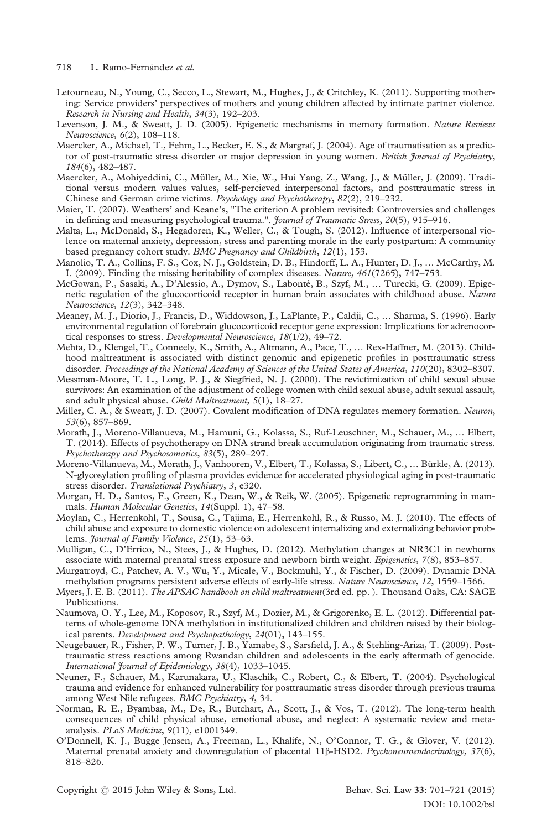- Letourneau, N., Young, C., Secco, L., Stewart, M., Hughes, J., & Critchley, K. (2011). Supporting mothering: Service providers' perspectives of mothers and young children affected by intimate partner violence. Research in Nursing and Health, 34(3), 192–203.
- Levenson, J. M., & Sweatt, J. D. (2005). Epigenetic mechanisms in memory formation. Nature Reviews Neuroscience, 6(2), 108–118.
- Maercker, A., Michael, T., Fehm, L., Becker, E. S., & Margraf, J. (2004). Age of traumatisation as a predictor of post-traumatic stress disorder or major depression in young women. British Journal of Psychiatry, 184(6), 482–487.
- Maercker, A., Mohiyeddini, C., Müller, M., Xie, W., Hui Yang, Z., Wang, J., & Müller, J. (2009). Traditional versus modern values values, self-percieved interpersonal factors, and posttraumatic stress in Chinese and German crime victims. Psychology and Psychotherapy, 82(2), 219–232.
- Maier, T. (2007). Weathers' and Keane's, "The criterion A problem revisited: Controversies and challenges in defining and measuring psychological trauma.". *Journal of Traumatic Stress*, 20(5), 915–916.
- Malta, L., McDonald, S., Hegadoren, K., Weller, C., & Tough, S. (2012). Influence of interpersonal violence on maternal anxiety, depression, stress and parenting morale in the early postpartum: A community based pregnancy cohort study. BMC Pregnancy and Childbirth, 12(1), 153.
- Manolio, T. A., Collins, F. S., Cox, N. J., Goldstein, D. B., Hindorff, L. A., Hunter, D. J., … McCarthy, M. I. (2009). Finding the missing heritability of complex diseases. Nature, 461(7265), 747–753.
- McGowan, P., Sasaki, A., D'Alessio, A., Dymov, S., Labonté, B., Szyf, M., … Turecki, G. (2009). Epigenetic regulation of the glucocorticoid receptor in human brain associates with childhood abuse. Nature Neuroscience, 12(3), 342–348.
- Meaney, M. J., Diorio, J., Francis, D., Widdowson, J., LaPlante, P., Caldji, C., … Sharma, S. (1996). Early environmental regulation of forebrain glucocorticoid receptor gene expression: Implications for adrenocortical responses to stress. Developmental Neuroscience, 18(1/2), 49-72.
- Mehta, D., Klengel, T., Conneely, K., Smith, A., Altmann, A., Pace, T., … Rex-Haffner, M. (2013). Childhood maltreatment is associated with distinct genomic and epigenetic profiles in posttraumatic stress disorder. Proceedings of the National Academy of Sciences of the United States of America, 110(20), 8302–8307.
- Messman-Moore, T. L., Long, P. J., & Siegfried, N. J. (2000). The revictimization of child sexual abuse survivors: An examination of the adjustment of college women with child sexual abuse, adult sexual assault, and adult physical abuse. Child Maltreatment, 5(1), 18-27.
- Miller, C. A., & Sweatt, J. D. (2007). Covalent modification of DNA regulates memory formation. Neuron, 53(6), 857–869.
- Morath, J., Moreno-Villanueva, M., Hamuni, G., Kolassa, S., Ruf-Leuschner, M., Schauer, M., … Elbert, T. (2014). Effects of psychotherapy on DNA strand break accumulation originating from traumatic stress. Psychotherapy and Psychosomatics, 83(5), 289–297.
- Moreno-Villanueva, M., Morath, J., Vanhooren, V., Elbert, T., Kolassa, S., Libert, C., … Bürkle, A. (2013). N-glycosylation profiling of plasma provides evidence for accelerated physiological aging in post-traumatic stress disorder. Translational Psychiatry, 3, e320.
- Morgan, H. D., Santos, F., Green, K., Dean, W., & Reik, W. (2005). Epigenetic reprogramming in mammals. Human Molecular Genetics, 14(Suppl. 1), 47–58.
- Moylan, C., Herrenkohl, T., Sousa, C., Tajima, E., Herrenkohl, R., & Russo, M. J. (2010). The effects of child abuse and exposure to domestic violence on adolescent internalizing and externalizing behavior problems. *Journal of Family Violence*, 25(1), 53-63.
- Mulligan, C., D'Errico, N., Stees, J., & Hughes, D. (2012). Methylation changes at NR3C1 in newborns associate with maternal prenatal stress exposure and newborn birth weight. Epigenetics, 7(8), 853-857.
- Murgatroyd, C., Patchev, A. V., Wu, Y., Micale, V., Bockmuhl, Y., & Fischer, D. (2009). Dynamic DNA methylation programs persistent adverse effects of early-life stress. Nature Neuroscience, 12, 1559-1566.
- Myers, J. E. B. (2011). The APSAC handbook on child maltreatment(3rd ed. pp.). Thousand Oaks, CA: SAGE Publications.
- Naumova, O. Y., Lee, M., Koposov, R., Szyf, M., Dozier, M., & Grigorenko, E. L. (2012). Differential patterns of whole-genome DNA methylation in institutionalized children and children raised by their biological parents. Development and Psychopathology, 24(01), 143-155.
- Neugebauer, R., Fisher, P. W., Turner, J. B., Yamabe, S., Sarsfield, J. A., & Stehling-Ariza, T. (2009). Posttraumatic stress reactions among Rwandan children and adolescents in the early aftermath of genocide. International Journal of Epidemiology, 38(4), 1033–1045.
- Neuner, F., Schauer, M., Karunakara, U., Klaschik, C., Robert, C., & Elbert, T. (2004). Psychological trauma and evidence for enhanced vulnerability for posttraumatic stress disorder through previous trauma among West Nile refugees. BMC Psychiatry, 4, 34.
- Norman, R. E., Byambaa, M., De, R., Butchart, A., Scott, J., & Vos, T. (2012). The long-term health consequences of child physical abuse, emotional abuse, and neglect: A systematic review and metaanalysis. PLoS Medicine, 9(11), e1001349.
- O'Donnell, K. J., Bugge Jensen, A., Freeman, L., Khalife, N., O'Connor, T. G., & Glover, V. (2012). Maternal prenatal anxiety and downregulation of placental 11β-HSD2. Psychoneuroendocrinology, 37(6), 818–826.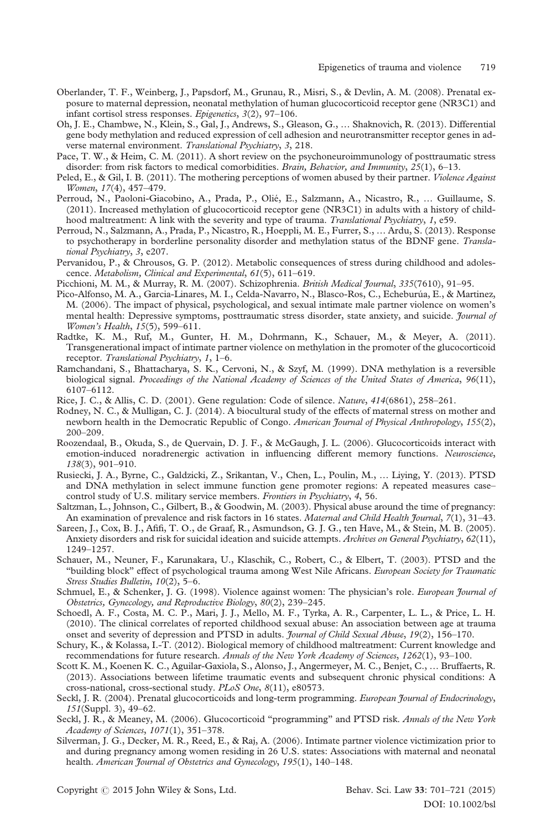- Oberlander, T. F., Weinberg, J., Papsdorf, M., Grunau, R., Misri, S., & Devlin, A. M. (2008). Prenatal exposure to maternal depression, neonatal methylation of human glucocorticoid receptor gene (NR3C1) and infant cortisol stress responses. Epigenetics, 3(2), 97–106.
- Oh, J. E., Chambwe, N., Klein, S., Gal, J., Andrews, S., Gleason, G., … Shaknovich, R. (2013). Differential gene body methylation and reduced expression of cell adhesion and neurotransmitter receptor genes in adverse maternal environment. Translational Psychiatry, 3, 218.
- Pace, T. W., & Heim, C. M. (2011). A short review on the psychoneuroimmunology of posttraumatic stress disorder: from risk factors to medical comorbidities. Brain, Behavior, and Immunity, 25(1), 6-13.
- Peled, E., & Gil, I. B. (2011). The mothering perceptions of women abused by their partner. *Violence Against* Women, 17(4), 457–479.
- Perroud, N., Paoloni-Giacobino, A., Prada, P., Olié, E., Salzmann, A., Nicastro, R., … Guillaume, S. (2011). Increased methylation of glucocorticoid receptor gene (NR3C1) in adults with a history of childhood maltreatment: A link with the severity and type of trauma. Translational Psychiatry, 1, e59.
- Perroud, N., Salzmann, A., Prada, P., Nicastro, R., Hoeppli, M. E., Furrer, S., … Ardu, S. (2013). Response to psychotherapy in borderline personality disorder and methylation status of the BDNF gene. Translational Psychiatry, 3, e207.
- Pervanidou, P., & Chrousos, G. P. (2012). Metabolic consequences of stress during childhood and adolescence. Metabolism, Clinical and Experimental, 61(5), 611–619.
- Picchioni, M. M., & Murray, R. M. (2007). Schizophrenia. British Medical Journal, 335(7610), 91-95.
- Pico-Alfonso, M. A., Garcia-Linares, M. I., Celda-Navarro, N., Blasco-Ros, C., Echeburúa, E., & Martinez, M. (2006). The impact of physical, psychological, and sexual intimate male partner violence on women's mental health: Depressive symptoms, posttraumatic stress disorder, state anxiety, and suicide. *Journal of* Women's Health, 15(5), 599–611.
- Radtke, K. M., Ruf, M., Gunter, H. M., Dohrmann, K., Schauer, M., & Meyer, A. (2011). Transgenerational impact of intimate partner violence on methylation in the promoter of the glucocorticoid receptor. Translational Psychiatry, 1, 1–6.
- Ramchandani, S., Bhattacharya, S. K., Cervoni, N., & Szyf, M. (1999). DNA methylation is a reversible biological signal. Proceedings of the National Academy of Sciences of the United States of America, 96(11), 6107–6112.
- Rice, J. C., & Allis, C. D. (2001). Gene regulation: Code of silence. Nature, 414(6861), 258–261.
- Rodney, N. C., & Mulligan, C. J. (2014). A biocultural study of the effects of maternal stress on mother and newborn health in the Democratic Republic of Congo. American Journal of Physical Anthropology, 155(2), 200–209.
- Roozendaal, B., Okuda, S., de Quervain, D. J. F., & McGaugh, J. L. (2006). Glucocorticoids interact with emotion-induced noradrenergic activation in influencing different memory functions. Neuroscience, 138(3), 901–910.
- Rusiecki, J. A., Byrne, C., Galdzicki, Z., Srikantan, V., Chen, L., Poulin, M., … Liying, Y. (2013). PTSD and DNA methylation in select immune function gene promoter regions: A repeated measures case– control study of U.S. military service members. Frontiers in Psychiatry, 4, 56.
- Saltzman, L., Johnson, C., Gilbert, B., & Goodwin, M. (2003). Physical abuse around the time of pregnancy: An examination of prevalence and risk factors in 16 states. Maternal and Child Health Journal, 7(1), 31–43.
- Sareen, J., Cox, B. J., Afifi, T. O., de Graaf, R., Asmundson, G. J. G., ten Have, M., & Stein, M. B. (2005). Anxiety disorders and risk for suicidal ideation and suicide attempts. Archives on General Psychiatry, 62(11), 1249–1257.
- Schauer, M., Neuner, F., Karunakara, U., Klaschik, C., Robert, C., & Elbert, T. (2003). PTSD and the "building block" effect of psychological trauma among West Nile Africans. European Society for Traumatic Stress Studies Bulletin, 10(2), 5-6.
- Schmuel, E., & Schenker, J. G. (1998). Violence against women: The physician's role. *European Journal of* Obstetrics, Gynecology, and Reproductive Biology, 80(2), 239–245.
- Schoedl, A. F., Costa, M. C. P., Mari, J. J., Mello, M. F., Tyrka, A. R., Carpenter, L. L., & Price, L. H. (2010). The clinical correlates of reported childhood sexual abuse: An association between age at trauma onset and severity of depression and PTSD in adults. *Journal of Child Sexual Abuse*, 19(2), 156-170.
- Schury, K., & Kolassa, I.-T. (2012). Biological memory of childhood maltreatment: Current knowledge and recommendations for future research. Annals of the New York Academy of Sciences, 1262(1), 93–100.
- Scott K. M., Koenen K. C., Aguilar-Gaxiola, S., Alonso, J., Angermeyer, M. C., Benjet, C., … Bruffaerts, R. (2013). Associations between lifetime traumatic events and subsequent chronic physical conditions: A cross-national, cross-sectional study. PLoS One, 8(11), e80573.
- Seckl, J. R. (2004). Prenatal glucocorticoids and long-term programming. European Journal of Endocrinology, 151(Suppl. 3), 49–62.
- Seckl, J. R., & Meaney, M. (2006). Glucocorticoid "programming" and PTSD risk. Annals of the New York Academy of Sciences, 1071(1), 351–378.
- Silverman, J. G., Decker, M. R., Reed, E., & Raj, A. (2006). Intimate partner violence victimization prior to and during pregnancy among women residing in 26 U.S. states: Associations with maternal and neonatal health. American Journal of Obstetrics and Gynecology, 195(1), 140-148.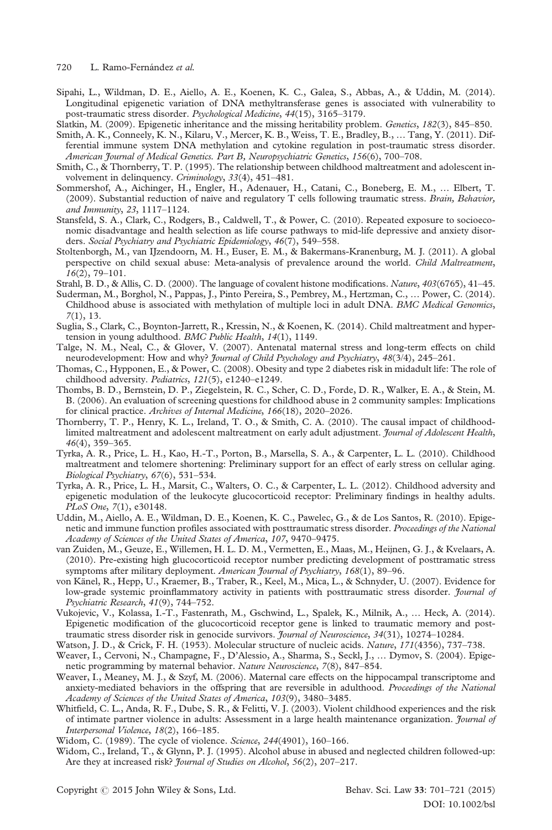720 L. Ramo-Fernández et al.

- Sipahi, L., Wildman, D. E., Aiello, A. E., Koenen, K. C., Galea, S., Abbas, A., & Uddin, M. (2014). Longitudinal epigenetic variation of DNA methyltransferase genes is associated with vulnerability to post-traumatic stress disorder. Psychological Medicine, 44(15), 3165–3179.
- Slatkin, M. (2009). Epigenetic inheritance and the missing heritability problem. *Genetics*, 182(3), 845–850.
- Smith, A. K., Conneely, K. N., Kilaru, V., Mercer, K. B., Weiss, T. E., Bradley, B., … Tang, Y. (2011). Differential immune system DNA methylation and cytokine regulation in post-traumatic stress disorder. American Journal of Medical Genetics. Part B, Neuropsychiatric Genetics, 156(6), 700–708.
- Smith, C., & Thornberry, T. P. (1995). The relationship between childhood maltreatment and adolescent involvement in delinquency. Criminology, 33(4), 451–481.
- Sommershof, A., Aichinger, H., Engler, H., Adenauer, H., Catani, C., Boneberg, E. M., … Elbert, T. (2009). Substantial reduction of naive and regulatory T cells following traumatic stress. Brain, Behavior, and Immunity, 23, 1117–1124.
- Stansfeld, S. A., Clark, C., Rodgers, B., Caldwell, T., & Power, C. (2010). Repeated exposure to socioeconomic disadvantage and health selection as life course pathways to mid-life depressive and anxiety disorders. Social Psychiatry and Psychiatric Epidemiology, 46(7), 549-558.
- Stoltenborgh, M., van IJzendoorn, M. H., Euser, E. M., & Bakermans-Kranenburg, M. J. (2011). A global perspective on child sexual abuse: Meta-analysis of prevalence around the world. Child Maltreatment, 16(2), 79–101.
- Strahl, B. D., & Allis, C. D. (2000). The language of covalent histone modifications. Nature, 403(6765), 41–45.
- Suderman, M., Borghol, N., Pappas, J., Pinto Pereira, S., Pembrey, M., Hertzman, C., … Power, C. (2014). Childhood abuse is associated with methylation of multiple loci in adult DNA. BMC Medical Genomics, 7(1), 13.
- Suglia, S., Clark, C., Boynton-Jarrett, R., Kressin, N., & Koenen, K. (2014). Child maltreatment and hypertension in young adulthood. BMC Public Health, 14(1), 1149.
- Talge, N. M., Neal, C., & Glover, V. (2007). Antenatal maternal stress and long-term effects on child neurodevelopment: How and why? *Journal of Child Psychology and Psychiatry*, 48(3/4), 245-261.
- Thomas, C., Hypponen, E., & Power, C. (2008). Obesity and type 2 diabetes risk in midadult life: The role of childhood adversity. Pediatrics, 121(5), e1240-e1249.
- Thombs, B. D., Bernstein, D. P., Ziegelstein, R. C., Scher, C. D., Forde, D. R., Walker, E. A., & Stein, M. B. (2006). An evaluation of screening questions for childhood abuse in 2 community samples: Implications for clinical practice. Archives of Internal Medicine, 166(18), 2020–2026.
- Thornberry, T. P., Henry, K. L., Ireland, T. O., & Smith, C. A. (2010). The causal impact of childhoodlimited maltreatment and adolescent maltreatment on early adult adjustment. Journal of Adolescent Health, 46(4), 359–365.
- Tyrka, A. R., Price, L. H., Kao, H.-T., Porton, B., Marsella, S. A., & Carpenter, L. L. (2010). Childhood maltreatment and telomere shortening: Preliminary support for an effect of early stress on cellular aging. Biological Psychiatry, 67(6), 531–534.
- Tyrka, A. R., Price, L. H., Marsit, C., Walters, O. C., & Carpenter, L. L. (2012). Childhood adversity and epigenetic modulation of the leukocyte glucocorticoid receptor: Preliminary findings in healthy adults. PLoS One, 7(1), e30148.
- Uddin, M., Aiello, A. E., Wildman, D. E., Koenen, K. C., Pawelec, G., & de Los Santos, R. (2010). Epigenetic and immune function profiles associated with posttraumatic stress disorder. Proceedings of the National Academy of Sciences of the United States of America, 107, 9470–9475.
- van Zuiden, M., Geuze, E., Willemen, H. L. D. M., Vermetten, E., Maas, M., Heijnen, G. J., & Kvelaars, A. (2010). Pre-existing high glucocorticoid receptor number predicting development of posttramatic stress symptoms after military deployment. American Journal of Psychiatry, 168(1), 89-96.
- von Känel, R., Hepp, U., Kraemer, B., Traber, R., Keel, M., Mica, L., & Schnyder, U. (2007). Evidence for low-grade systemic proinflammatory activity in patients with posttraumatic stress disorder. *Journal of* Psychiatric Research, 41(9), 744–752.
- Vukojevic, V., Kolassa, I.-T., Fastenrath, M., Gschwind, L., Spalek, K., Milnik, A., … Heck, A. (2014). Epigenetic modification of the glucocorticoid receptor gene is linked to traumatic memory and posttraumatic stress disorder risk in genocide survivors. Journal of Neuroscience, 34(31), 10274–10284.
- Watson, J. D., & Crick, F. H. (1953). Molecular structure of nucleic acids. Nature, 171(4356), 737-738.
- Weaver, I., Cervoni, N., Champagne, F., D'Alessio, A., Sharma, S., Seckl, J., … Dymov, S. (2004). Epigenetic programming by maternal behavior. Nature Neuroscience, 7(8), 847–854.
- Weaver, I., Meaney, M. J., & Szyf, M. (2006). Maternal care effects on the hippocampal transcriptome and anxiety-mediated behaviors in the offspring that are reversible in adulthood. Proceedings of the National Academy of Sciences of the United States of America, 103(9), 3480–3485.
- Whitfield, C. L., Anda, R. F., Dube, S. R., & Felitti, V. J. (2003). Violent childhood experiences and the risk of intimate partner violence in adults: Assessment in a large health maintenance organization. Journal of Interpersonal Violence, 18(2), 166–185.
- Widom, C. (1989). The cycle of violence. Science, 244(4901), 160–166.
- Widom, C., Ireland, T., & Glynn, P. J. (1995). Alcohol abuse in abused and neglected children followed-up: Are they at increased risk? *Journal of Studies on Alcohol*, 56(2), 207-217.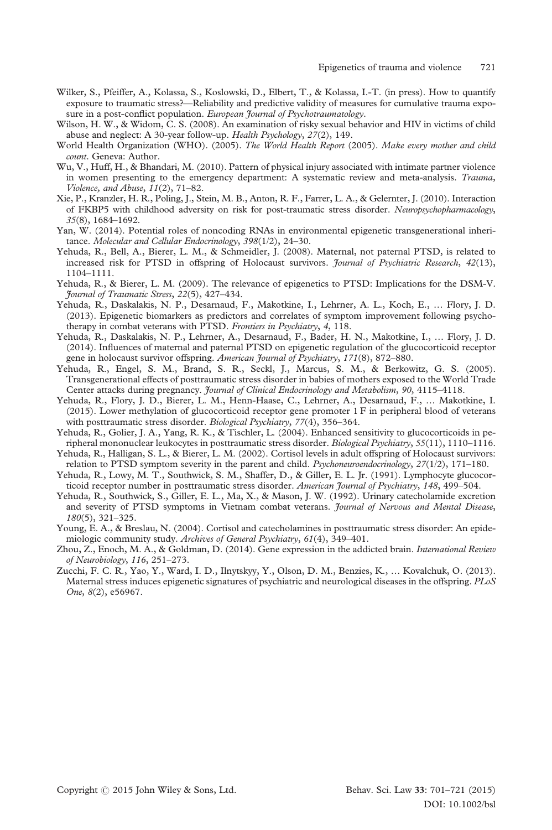- Wilker, S., Pfeiffer, A., Kolassa, S., Koslowski, D., Elbert, T., & Kolassa, I.-T. (in press). How to quantify exposure to traumatic stress?—Reliability and predictive validity of measures for cumulative trauma exposure in a post-conflict population. European Journal of Psychotraumatology.
- Wilson, H. W., & Widom, C. S. (2008). An examination of risky sexual behavior and HIV in victims of child abuse and neglect: A 30-year follow-up. Health Psychology, 27(2), 149.
- World Health Organization (WHO). (2005). The World Health Report (2005). Make every mother and child count. Geneva: Author.
- Wu, V., Huff, H., & Bhandari, M. (2010). Pattern of physical injury associated with intimate partner violence in women presenting to the emergency department: A systematic review and meta-analysis. Trauma, Violence, and Abuse, 11(2), 71–82.
- Xie, P., Kranzler, H. R., Poling, J., Stein, M. B., Anton, R. F., Farrer, L. A., & Gelernter, J. (2010). Interaction of FKBP5 with childhood adversity on risk for post-traumatic stress disorder. Neuropsychopharmacology, 35(8), 1684–1692.
- Yan, W. (2014). Potential roles of noncoding RNAs in environmental epigenetic transgenerational inheritance. Molecular and Cellular Endocrinology, 398(1/2), 24-30.
- Yehuda, R., Bell, A., Bierer, L. M., & Schmeidler, J. (2008). Maternal, not paternal PTSD, is related to increased risk for PTSD in offspring of Holocaust survivors. *Journal of Psychiatric Research*, 42(13), 1104–1111.
- Yehuda, R., & Bierer, L. M. (2009). The relevance of epigenetics to PTSD: Implications for the DSM-V. Journal of Traumatic Stress, 22(5), 427–434.
- Yehuda, R., Daskalakis, N. P., Desarnaud, F., Makotkine, I., Lehrner, A. L., Koch, E., … Flory, J. D. (2013). Epigenetic biomarkers as predictors and correlates of symptom improvement following psychotherapy in combat veterans with PTSD. Frontiers in Psychiatry, 4, 118.
- Yehuda, R., Daskalakis, N. P., Lehrner, A., Desarnaud, F., Bader, H. N., Makotkine, I., … Flory, J. D. (2014). Influences of maternal and paternal PTSD on epigenetic regulation of the glucocorticoid receptor gene in holocaust survivor offspring. American Journal of Psychiatry, 171(8), 872-880.
- Yehuda, R., Engel, S. M., Brand, S. R., Seckl, J., Marcus, S. M., & Berkowitz, G. S. (2005). Transgenerational effects of posttraumatic stress disorder in babies of mothers exposed to the World Trade Center attacks during pregnancy. *Journal of Clinical Endocrinology and Metabolism*, 90, 4115–4118.
- Yehuda, R., Flory, J. D., Bierer, L. M., Henn-Haase, C., Lehrner, A., Desarnaud, F., … Makotkine, I. (2015). Lower methylation of glucocorticoid receptor gene promoter 1 F in peripheral blood of veterans with posttraumatic stress disorder. Biological Psychiatry, 77(4), 356-364.
- Yehuda, R., Golier, J. A., Yang, R. K., & Tischler, L. (2004). Enhanced sensitivity to glucocorticoids in peripheral mononuclear leukocytes in posttraumatic stress disorder. Biological Psychiatry, 55(11), 1110–1116.
- Yehuda, R., Halligan, S. L., & Bierer, L. M. (2002). Cortisol levels in adult offspring of Holocaust survivors: relation to PTSD symptom severity in the parent and child. *Psychoneuroendocrinology*, 27(1/2), 171–180.
- Yehuda, R., Lowy, M. T., Southwick, S. M., Shaffer, D., & Giller, E. L. Jr. (1991). Lymphocyte glucocorticoid receptor number in posttraumatic stress disorder. American Journal of Psychiatry, 148, 499-504.
- Yehuda, R., Southwick, S., Giller, E. L., Ma, X., & Mason, J. W. (1992). Urinary catecholamide excretion and severity of PTSD symptoms in Vietnam combat veterans. Journal of Nervous and Mental Disease, 180(5), 321–325.
- Young, E. A., & Breslau, N. (2004). Cortisol and catecholamines in posttraumatic stress disorder: An epidemiologic community study. Archives of General Psychiatry, 61(4), 349-401.
- Zhou, Z., Enoch, M. A., & Goldman, D. (2014). Gene expression in the addicted brain. International Review of Neurobiology, 116, 251–273.
- Zucchi, F. C. R., Yao, Y., Ward, I. D., Ilnytskyy, Y., Olson, D. M., Benzies, K., … Kovalchuk, O. (2013). Maternal stress induces epigenetic signatures of psychiatric and neurological diseases in the offspring. PLoS One, 8(2), e56967.